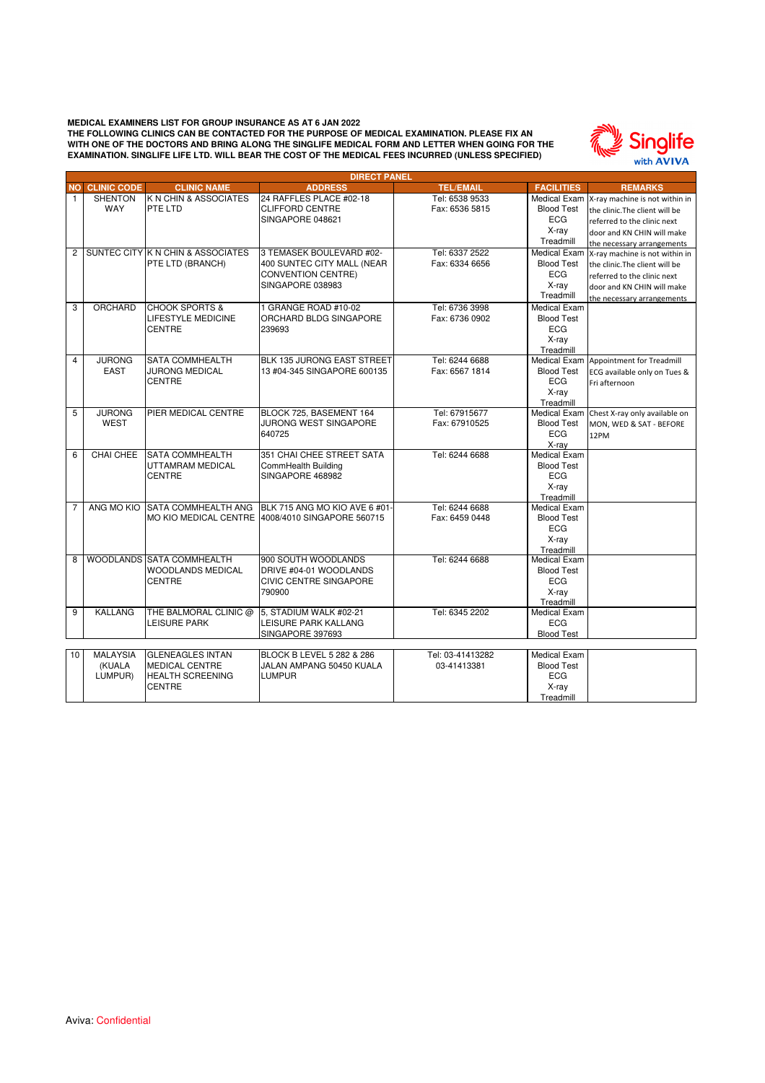

Treadmill

|                | <b>DIRECT PANEL</b>   |                                       |                                                         |                                |                                   |                                             |  |  |
|----------------|-----------------------|---------------------------------------|---------------------------------------------------------|--------------------------------|-----------------------------------|---------------------------------------------|--|--|
| <b>NO</b>      | <b>CLINIC CODE</b>    | <b>CLINIC NAME</b>                    | <b>ADDRESS</b>                                          | <b>TEL/EMAIL</b>               | <b>FACILITIES</b>                 | <b>REMARKS</b>                              |  |  |
| $\mathbf{1}$   | <b>SHENTON</b>        | K N CHIN & ASSOCIATES                 | 24 RAFFLES PLACE #02-18                                 | Tel: 6538 9533                 |                                   | Medical Exam X-ray machine is not within in |  |  |
|                | <b>WAY</b>            | PTE LTD                               | <b>CLIFFORD CENTRE</b>                                  | Fax: 6536 5815                 | <b>Blood Test</b>                 | the clinic. The client will be              |  |  |
|                |                       |                                       | SINGAPORE 048621                                        |                                | <b>ECG</b>                        | referred to the clinic next                 |  |  |
|                |                       |                                       |                                                         |                                | X-ray                             | door and KN CHIN will make                  |  |  |
|                |                       |                                       |                                                         |                                | Treadmill                         | the necessary arrangements                  |  |  |
| $\overline{2}$ |                       | SUNTEC CITY K N CHIN & ASSOCIATES     | 3 TEMASEK BOULEVARD #02-                                | Tel: 6337 2522                 | <b>Medical Exam</b>               | X-ray machine is not within in              |  |  |
|                |                       | PTE LTD (BRANCH)                      | 400 SUNTEC CITY MALL (NEAR                              | Fax: 6334 6656                 | <b>Blood Test</b>                 | the clinic. The client will be              |  |  |
|                |                       |                                       | <b>CONVENTION CENTRE)</b>                               |                                | <b>ECG</b>                        | referred to the clinic next                 |  |  |
|                |                       |                                       | SINGAPORE 038983                                        |                                | X-ray                             | door and KN CHIN will make                  |  |  |
|                |                       |                                       |                                                         |                                | Treadmill                         | the necessary arrangements                  |  |  |
| 3              | ORCHARD               | <b>CHOOK SPORTS &amp;</b>             | 1 GRANGE ROAD #10-02                                    | Tel: 6736 3998                 | <b>Medical Exam</b>               |                                             |  |  |
|                |                       | <b>LIFESTYLE MEDICINE</b>             | ORCHARD BLDG SINGAPORE                                  | Fax: 6736 0902                 | <b>Blood Test</b>                 |                                             |  |  |
|                |                       | <b>CENTRE</b>                         | 239693                                                  |                                | <b>ECG</b>                        |                                             |  |  |
|                |                       |                                       |                                                         |                                | X-ray                             |                                             |  |  |
|                |                       |                                       |                                                         |                                | Treadmill                         |                                             |  |  |
| $\overline{4}$ | <b>JURONG</b>         | <b>SATA COMMHEALTH</b>                | BLK 135 JURONG EAST STREET                              | Tel: 6244 6688                 |                                   | Medical Exam Appointment for Treadmill      |  |  |
|                | <b>EAST</b>           | <b>JURONG MEDICAL</b>                 | 13 #04-345 SINGAPORE 600135                             | Fax: 6567 1814                 | <b>Blood Test</b>                 | ECG available only on Tues &                |  |  |
|                |                       | <b>CENTRE</b>                         |                                                         |                                | <b>ECG</b>                        | Fri afternoon                               |  |  |
|                |                       |                                       |                                                         |                                | X-ray                             |                                             |  |  |
|                |                       |                                       |                                                         |                                | Treadmill                         |                                             |  |  |
| 5              | <b>JURONG</b><br>WEST | PIER MEDICAL CENTRE                   | BLOCK 725, BASEMENT 164<br><b>JURONG WEST SINGAPORE</b> | Tel: 67915677<br>Fax: 67910525 | <b>Blood Test</b>                 | Medical Exam Chest X-ray only available on  |  |  |
|                |                       |                                       | 640725                                                  |                                | <b>ECG</b>                        | MON, WED & SAT - BEFORE                     |  |  |
|                |                       |                                       |                                                         |                                | X-ray                             | 12PM                                        |  |  |
| 6              | CHAI CHEE             | <b>SATA COMMHEALTH</b>                | 351 CHAI CHEE STREET SATA                               | Tel: 6244 6688                 | <b>Medical Exam</b>               |                                             |  |  |
|                |                       | UTTAMRAM MEDICAL                      | CommHealth Building                                     |                                | <b>Blood Test</b>                 |                                             |  |  |
|                |                       | <b>CENTRE</b>                         | SINGAPORE 468982                                        |                                | ECG                               |                                             |  |  |
|                |                       |                                       |                                                         |                                | X-ray                             |                                             |  |  |
|                |                       |                                       |                                                         |                                | Treadmill                         |                                             |  |  |
| $\overline{7}$ | ANG MO KIO            |                                       | SATA COMMHEALTH ANG BLK 715 ANG MO KIO AVE 6 #01-       | Tel: 6244 6688                 | <b>Medical Exam</b>               |                                             |  |  |
|                |                       |                                       | MO KIO MEDICAL CENTRE 4008/4010 SINGAPORE 560715        | Fax: 6459 0448                 | <b>Blood Test</b>                 |                                             |  |  |
|                |                       |                                       |                                                         |                                | <b>ECG</b>                        |                                             |  |  |
|                |                       |                                       |                                                         |                                | X-ray                             |                                             |  |  |
|                |                       |                                       |                                                         |                                | Treadmill                         |                                             |  |  |
| 8              |                       | WOODLANDS SATA COMMHEALTH             | 900 SOUTH WOODLANDS                                     | Tel: 6244 6688                 | Medical Exam                      |                                             |  |  |
|                |                       | WOODLANDS MEDICAL                     | DRIVE #04-01 WOODLANDS                                  |                                | <b>Blood Test</b>                 |                                             |  |  |
|                |                       | <b>CENTRE</b>                         | <b>CIVIC CENTRE SINGAPORE</b>                           |                                | <b>ECG</b>                        |                                             |  |  |
|                |                       |                                       | 790900                                                  |                                | X-ray                             |                                             |  |  |
|                |                       |                                       |                                                         |                                | Treadmill                         |                                             |  |  |
| 9              | <b>KALLANG</b>        | THE BALMORAL CLINIC @<br>LEISURE PARK | 5. STADIUM WALK #02-21                                  | Tel: 6345 2202                 | <b>Medical Exam</b><br><b>ECG</b> |                                             |  |  |
|                |                       |                                       | LEISURE PARK KALLANG<br>SINGAPORE 397693                |                                | <b>Blood Test</b>                 |                                             |  |  |
|                |                       |                                       |                                                         |                                |                                   |                                             |  |  |
| 10             | <b>MALAYSIA</b>       | <b>GLENEAGLES INTAN</b>               | BLOCK B LEVEL 5 282 & 286                               | Tel: 03-41413282               | <b>Medical Exam</b>               |                                             |  |  |
|                | (KUALA                | <b>MEDICAL CENTRE</b>                 | JALAN AMPANG 50450 KUALA                                | 03-41413381                    | <b>Blood Test</b>                 |                                             |  |  |
|                | LUMPUR)               | <b>HEALTH SCREENING</b>               | <b>LUMPUR</b>                                           |                                | <b>ECG</b>                        |                                             |  |  |
|                |                       | <b>CENTRE</b>                         |                                                         |                                | X-ray                             |                                             |  |  |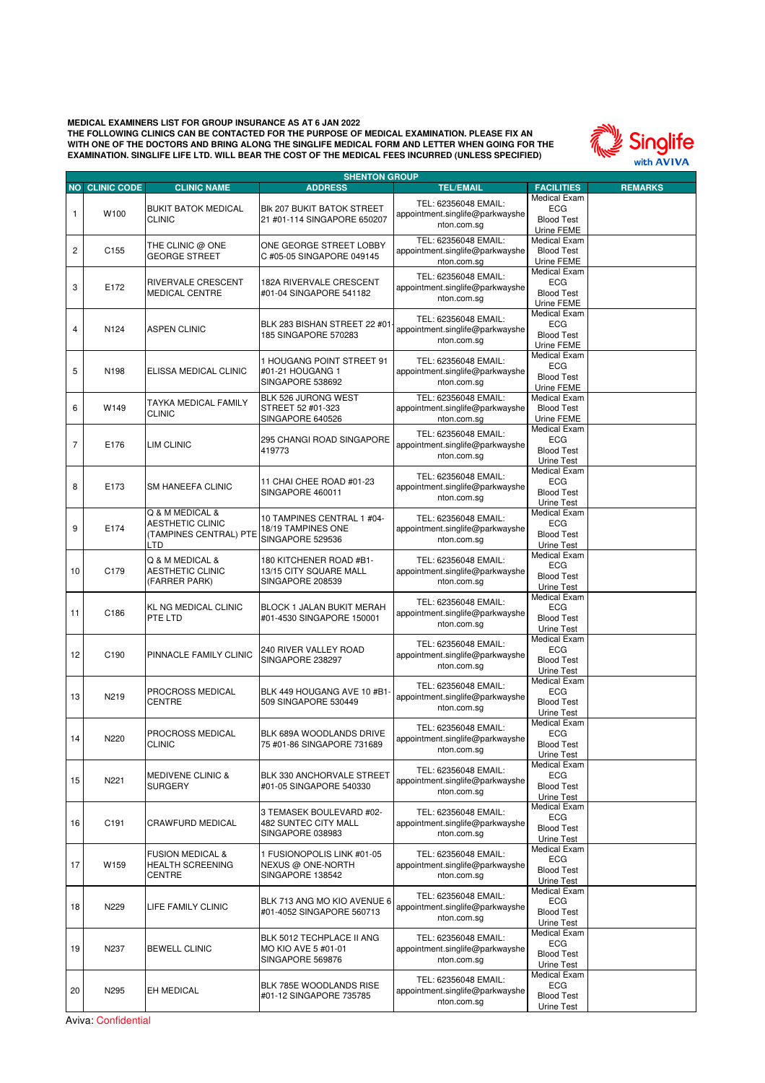

|                | <b>SHENTON GROUP</b>  |                              |                                  |                                 |                     |                |
|----------------|-----------------------|------------------------------|----------------------------------|---------------------------------|---------------------|----------------|
|                | <b>NO CLINIC CODE</b> | <b>CLINIC NAME</b>           | <b>ADDRESS</b>                   | <b>TEL/EMAIL</b>                | <b>FACILITIES</b>   | <b>REMARKS</b> |
|                |                       |                              |                                  |                                 | Medical Exam        |                |
|                |                       | <b>BUKIT BATOK MEDICAL</b>   | BIK 207 BUKIT BATOK STREET       | TEL: 62356048 EMAIL:            | <b>ECG</b>          |                |
| 1              | W100                  | <b>CLINIC</b>                | 21 #01-114 SINGAPORE 650207      | appointment.singlife@parkwayshe | <b>Blood Test</b>   |                |
|                |                       |                              |                                  | nton.com.sg                     |                     |                |
|                |                       |                              |                                  |                                 | Urine FEME          |                |
|                |                       | THE CLINIC @ ONE             | ONE GEORGE STREET LOBBY          | TEL: 62356048 EMAIL:            | Medical Exam        |                |
| $\overline{c}$ | C <sub>155</sub>      | <b>GEORGE STREET</b>         | C #05-05 SINGAPORE 049145        | appointment.singlife@parkwayshe | <b>Blood Test</b>   |                |
|                |                       |                              |                                  | nton.com.sg                     | Urine FEME          |                |
|                |                       |                              |                                  |                                 | Medical Exam        |                |
|                |                       | RIVERVALE CRESCENT           | 182A RIVERVALE CRESCENT          | TEL: 62356048 EMAIL:            | <b>ECG</b>          |                |
| 3              | E172                  | <b>MEDICAL CENTRE</b>        | #01-04 SINGAPORE 541182          | appointment.singlife@parkwayshe | <b>Blood Test</b>   |                |
|                |                       |                              |                                  | nton.com.sg                     | Urine FEME          |                |
|                |                       |                              |                                  |                                 | Medical Exam        |                |
|                |                       |                              |                                  | TEL: 62356048 EMAIL:            |                     |                |
| $\overline{4}$ | N124                  | <b>ASPEN CLINIC</b>          | BLK 283 BISHAN STREET 22 #01     | appointment.singlife@parkwayshe | <b>ECG</b>          |                |
|                |                       |                              | 185 SINGAPORE 570283             | nton.com.sg                     | <b>Blood Test</b>   |                |
|                |                       |                              |                                  |                                 | Urine FEME          |                |
|                |                       |                              | 1 HOUGANG POINT STREET 91        | TEL: 62356048 EMAIL:            | Medical Exam        |                |
| 5              | N198                  | ELISSA MEDICAL CLINIC        | #01-21 HOUGANG 1                 |                                 | <b>ECG</b>          |                |
|                |                       |                              |                                  | appointment.singlife@parkwayshe | <b>Blood Test</b>   |                |
|                |                       |                              | SINGAPORE 538692                 | nton.com.sg                     | Urine FEME          |                |
|                |                       |                              | BLK 526 JURONG WEST              | TEL: 62356048 EMAIL:            | Medical Exam        |                |
| 6              | W149                  | TAYKA MEDICAL FAMILY         | STREET 52 #01-323                | appointment.singlife@parkwayshe | <b>Blood Test</b>   |                |
|                |                       | <b>CLINIC</b>                |                                  |                                 |                     |                |
|                |                       |                              | SINGAPORE 640526                 | nton.com.sg                     | Urine FEME          |                |
|                |                       |                              |                                  | TEL: 62356048 EMAIL:            | Medical Exam        |                |
| $\overline{7}$ | E176                  | <b>LIM CLINIC</b>            | 295 CHANGI ROAD SINGAPORE        | appointment.singlife@parkwayshe | <b>ECG</b>          |                |
|                |                       |                              | 419773                           | nton.com.sg                     | <b>Blood Test</b>   |                |
|                |                       |                              |                                  |                                 | Urine Test          |                |
|                |                       |                              |                                  |                                 | Medical Exam        |                |
|                |                       |                              | 11 CHAI CHEE ROAD #01-23         | TEL: 62356048 EMAIL:            | <b>ECG</b>          |                |
| 8              | E173                  | SM HANEEFA CLINIC            | SINGAPORE 460011                 | appointment.singlife@parkwayshe | <b>Blood Test</b>   |                |
|                |                       |                              |                                  | nton.com.sg                     | <b>Urine Test</b>   |                |
|                |                       | Q & M MEDICAL &              |                                  |                                 | <b>Medical Exam</b> |                |
|                |                       |                              | 10 TAMPINES CENTRAL 1 #04-       | TEL: 62356048 EMAIL:            |                     |                |
| 9              | E174                  | <b>AESTHETIC CLINIC</b>      | 18/19 TAMPINES ONE               | appointment.singlife@parkwayshe | <b>ECG</b>          |                |
|                |                       | (TAMPINES CENTRAL) PTE       | SINGAPORE 529536                 | nton.com.sq                     | <b>Blood Test</b>   |                |
|                |                       | LTD                          |                                  |                                 | <b>Urine Test</b>   |                |
|                |                       | Q & M MEDICAL &              | 180 KITCHENER ROAD #B1-          | TEL: 62356048 EMAIL:            | <b>Medical Exam</b> |                |
|                |                       |                              |                                  |                                 | <b>ECG</b>          |                |
| 10             | C179                  | <b>AESTHETIC CLINIC</b>      | 13/15 CITY SQUARE MALL           | appointment.singlife@parkwayshe | <b>Blood Test</b>   |                |
|                |                       | (FARRER PARK)                | SINGAPORE 208539                 | nton.com.sg                     | Urine Test          |                |
|                |                       |                              |                                  |                                 | <b>Medical Exam</b> |                |
|                |                       | KL NG MEDICAL CLINIC         | <b>BLOCK 1 JALAN BUKIT MERAH</b> | TEL: 62356048 EMAIL:            | <b>ECG</b>          |                |
| 11             | C186                  | PTE LTD                      | #01-4530 SINGAPORE 150001        | appointment.singlife@parkwayshe | <b>Blood Test</b>   |                |
|                |                       |                              |                                  | nton.com.sg                     |                     |                |
|                |                       |                              |                                  |                                 | Urine Test          |                |
|                |                       |                              |                                  | TEL: 62356048 EMAIL:            | Medical Exam        |                |
| 12             | C190                  | PINNACLE FAMILY CLINIC       | 240 RIVER VALLEY ROAD            | appointment.singlife@parkwayshe | <b>ECG</b>          |                |
|                |                       |                              | SINGAPORE 238297                 | nton.com.sg                     | <b>Blood Test</b>   |                |
|                |                       |                              |                                  |                                 | Urine Test          |                |
|                |                       |                              |                                  | TEL: 62356048 EMAIL:            | Medical Exam        |                |
|                |                       | PROCROSS MEDICAL             | BLK 449 HOUGANG AVE 10 #B1-      |                                 | <b>ECG</b>          |                |
| 13             | N219                  | <b>CENTRE</b>                | 509 SINGAPORE 530449             | appointment.singlife@parkwayshe | <b>Blood Test</b>   |                |
|                |                       |                              |                                  | nton.com.sg                     | Urine Test          |                |
|                |                       |                              |                                  |                                 | Medical Exam        |                |
|                |                       | PROCROSS MEDICAL             | BLK 689A WOODLANDS DRIVE         | TEL: 62356048 EMAIL:            | <b>ECG</b>          |                |
| 14             | N220                  |                              |                                  | appointment.singlife@parkwayshe |                     |                |
|                |                       | <b>CLINIC</b>                | 75 #01-86 SINGAPORE 731689       | nton.com.sg                     | <b>Blood Test</b>   |                |
|                |                       |                              |                                  |                                 | Urine Test          |                |
|                |                       |                              |                                  | TEL: 62356048 EMAIL:            | Medical Exam        |                |
| 15             | N221                  | <b>MEDIVENE CLINIC &amp;</b> | BLK 330 ANCHORVALE STREET        | appointment.singlife@parkwayshe | ECG                 |                |
|                |                       | <b>SURGERY</b>               | #01-05 SINGAPORE 540330          | nton.com.sg                     | <b>Blood Test</b>   |                |
|                |                       |                              |                                  |                                 | Urine Test          |                |
|                |                       |                              |                                  |                                 | Medical Exam        |                |
|                |                       |                              | 3 TEMASEK BOULEVARD #02-         | TEL: 62356048 EMAIL:            | ECG                 |                |
| 16             | C191                  | CRAWFURD MEDICAL             | 482 SUNTEC CITY MALL             | appointment.singlife@parkwayshe | <b>Blood Test</b>   |                |
|                |                       |                              | SINGAPORE 038983                 | nton.com.sg                     | Urine Test          |                |
|                |                       |                              |                                  |                                 | Medical Exam        |                |
|                |                       | <b>FUSION MEDICAL &amp;</b>  | 1 FUSIONOPOLIS LINK #01-05       | TEL: 62356048 EMAIL:            | <b>ECG</b>          |                |
| 17             | W159                  | <b>HEALTH SCREENING</b>      | NEXUS @ ONE-NORTH                | appointment.singlife@parkwayshe |                     |                |
|                |                       | <b>CENTRE</b>                | SINGAPORE 138542                 | nton.com.sg                     | <b>Blood Test</b>   |                |
|                |                       |                              |                                  |                                 | Urine Test          |                |
|                |                       |                              |                                  | TEL: 62356048 EMAIL:            | Medical Exam        |                |
| 18             | N229                  | LIFE FAMILY CLINIC           | BLK 713 ANG MO KIO AVENUE 6      | appointment.singlife@parkwayshe | ECG                 |                |
|                |                       |                              | #01-4052 SINGAPORE 560713        |                                 | <b>Blood Test</b>   |                |
|                |                       |                              |                                  | nton.com.sg                     | Urine Test          |                |
|                |                       |                              |                                  |                                 | Medical Exam        |                |
|                |                       |                              | BLK 5012 TECHPLACE II ANG        | TEL: 62356048 EMAIL:            | ECG                 |                |
| 19             | N237                  | <b>BEWELL CLINIC</b>         | MO KIO AVE 5 #01-01              | appointment.singlife@parkwayshe | <b>Blood Test</b>   |                |
|                |                       |                              | SINGAPORE 569876                 | nton.com.sg                     | Urine Test          |                |
|                |                       |                              |                                  |                                 | Medical Exam        |                |
|                |                       |                              |                                  | TEL: 62356048 EMAIL:            |                     |                |
| 20             | N295                  | EH MEDICAL                   | BLK 785E WOODLANDS RISE          | appointment.singlife@parkwayshe | ECG                 |                |
|                |                       |                              | #01-12 SINGAPORE 735785          | nton.com.sg                     | <b>Blood Test</b>   |                |
|                |                       |                              |                                  |                                 | Urine Test          |                |

Aviva: Confidential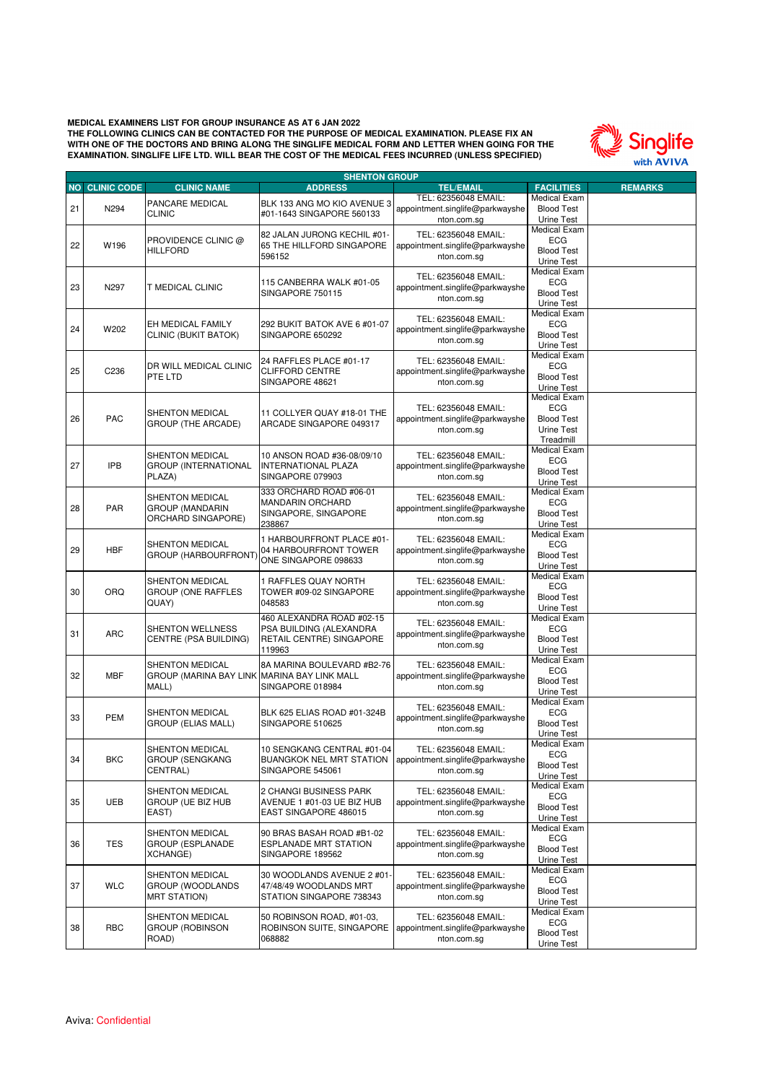

| <b>NO CLINIC CODE</b><br>21<br>22<br>23<br>24<br>25<br>26<br>27<br><b>IPB</b> | N294<br>W196<br>N297<br>W202<br>C <sub>236</sub><br>PAC | <b>CLINIC NAME</b><br>PANCARE MEDICAL<br><b>CLINIC</b><br>PROVIDENCE CLINIC @<br><b>HILLFORD</b><br><b>T MEDICAL CLINIC</b><br>EH MEDICAL FAMILY<br>CLINIC (BUKIT BATOK)<br>DR WILL MEDICAL CLINIC<br>PTE LTD<br><b>SHENTON MEDICAL</b><br><b>GROUP (THE ARCADE)</b> | <b>ADDRESS</b><br>BLK 133 ANG MO KIO AVENUE 3<br>#01-1643 SINGAPORE 560133<br>82 JALAN JURONG KECHIL #01-<br>65 THE HILLFORD SINGAPORE<br>596152<br>115 CANBERRA WALK #01-05<br>SINGAPORE 750115<br>292 BUKIT BATOK AVE 6 #01-07<br>SINGAPORE 650292<br>24 RAFFLES PLACE #01-17<br><b>CLIFFORD CENTRE</b><br>SINGAPORE 48621 | <b>TEL/EMAIL</b><br>TEL: 62356048 EMAIL:<br>appointment.singlife@parkwayshe<br>nton.com.sq<br>TEL: 62356048 EMAIL:<br>appointment.singlife@parkwayshe<br>nton.com.sg<br>TEL: 62356048 EMAIL:<br>appointment.singlife@parkwayshe<br>nton.com.sg<br>TEL: 62356048 EMAIL:<br>appointment.singlife@parkwayshe<br>nton.com.sg<br>TEL: 62356048 EMAIL:                                                                                                                                                                                                                                                                                                                                                                                                                                                                                                                                                                                                                                                                                                                                                                                                                                                                                                                                                                                                                                                                                                                                                                                                                                                                                                                                                                                                                                                        | <b>FACILITIES</b><br><b>Medical Exam</b><br><b>Blood Test</b><br>Urine Test<br>Medical Exam<br><b>ECG</b><br><b>Blood Test</b><br>Urine Test<br>Medical Exam<br><b>ECG</b><br><b>Blood Test</b><br>Urine Test<br>Medical Exam<br><b>ECG</b><br><b>Blood Test</b><br>Urine Test | <b>REMARKS</b> |
|-------------------------------------------------------------------------------|---------------------------------------------------------|----------------------------------------------------------------------------------------------------------------------------------------------------------------------------------------------------------------------------------------------------------------------|------------------------------------------------------------------------------------------------------------------------------------------------------------------------------------------------------------------------------------------------------------------------------------------------------------------------------|---------------------------------------------------------------------------------------------------------------------------------------------------------------------------------------------------------------------------------------------------------------------------------------------------------------------------------------------------------------------------------------------------------------------------------------------------------------------------------------------------------------------------------------------------------------------------------------------------------------------------------------------------------------------------------------------------------------------------------------------------------------------------------------------------------------------------------------------------------------------------------------------------------------------------------------------------------------------------------------------------------------------------------------------------------------------------------------------------------------------------------------------------------------------------------------------------------------------------------------------------------------------------------------------------------------------------------------------------------------------------------------------------------------------------------------------------------------------------------------------------------------------------------------------------------------------------------------------------------------------------------------------------------------------------------------------------------------------------------------------------------------------------------------------------------|--------------------------------------------------------------------------------------------------------------------------------------------------------------------------------------------------------------------------------------------------------------------------------|----------------|
|                                                                               |                                                         |                                                                                                                                                                                                                                                                      |                                                                                                                                                                                                                                                                                                                              |                                                                                                                                                                                                                                                                                                                                                                                                                                                                                                                                                                                                                                                                                                                                                                                                                                                                                                                                                                                                                                                                                                                                                                                                                                                                                                                                                                                                                                                                                                                                                                                                                                                                                                                                                                                                         |                                                                                                                                                                                                                                                                                |                |
|                                                                               |                                                         |                                                                                                                                                                                                                                                                      |                                                                                                                                                                                                                                                                                                                              |                                                                                                                                                                                                                                                                                                                                                                                                                                                                                                                                                                                                                                                                                                                                                                                                                                                                                                                                                                                                                                                                                                                                                                                                                                                                                                                                                                                                                                                                                                                                                                                                                                                                                                                                                                                                         |                                                                                                                                                                                                                                                                                |                |
|                                                                               |                                                         |                                                                                                                                                                                                                                                                      |                                                                                                                                                                                                                                                                                                                              |                                                                                                                                                                                                                                                                                                                                                                                                                                                                                                                                                                                                                                                                                                                                                                                                                                                                                                                                                                                                                                                                                                                                                                                                                                                                                                                                                                                                                                                                                                                                                                                                                                                                                                                                                                                                         |                                                                                                                                                                                                                                                                                |                |
|                                                                               |                                                         |                                                                                                                                                                                                                                                                      |                                                                                                                                                                                                                                                                                                                              |                                                                                                                                                                                                                                                                                                                                                                                                                                                                                                                                                                                                                                                                                                                                                                                                                                                                                                                                                                                                                                                                                                                                                                                                                                                                                                                                                                                                                                                                                                                                                                                                                                                                                                                                                                                                         |                                                                                                                                                                                                                                                                                |                |
|                                                                               |                                                         |                                                                                                                                                                                                                                                                      |                                                                                                                                                                                                                                                                                                                              |                                                                                                                                                                                                                                                                                                                                                                                                                                                                                                                                                                                                                                                                                                                                                                                                                                                                                                                                                                                                                                                                                                                                                                                                                                                                                                                                                                                                                                                                                                                                                                                                                                                                                                                                                                                                         |                                                                                                                                                                                                                                                                                |                |
|                                                                               |                                                         |                                                                                                                                                                                                                                                                      |                                                                                                                                                                                                                                                                                                                              |                                                                                                                                                                                                                                                                                                                                                                                                                                                                                                                                                                                                                                                                                                                                                                                                                                                                                                                                                                                                                                                                                                                                                                                                                                                                                                                                                                                                                                                                                                                                                                                                                                                                                                                                                                                                         |                                                                                                                                                                                                                                                                                |                |
|                                                                               |                                                         |                                                                                                                                                                                                                                                                      |                                                                                                                                                                                                                                                                                                                              | <b>Medical Exam</b><br><b>ECG</b><br>appointment.singlife@parkwayshe<br><b>Blood Test</b><br>nton.com.sg<br>Urine Test<br><b>Medical Exam</b><br>TEL: 62356048 EMAIL:<br><b>ECG</b><br>appointment.singlife@parkwayshe<br><b>Blood Test</b><br>nton.com.sg<br>Urine Test<br>Treadmill<br>Medical Exam<br>TEL: 62356048 EMAIL:<br><b>ECG</b><br>appointment.singlife@parkwayshe<br><b>Blood Test</b><br>nton.com.sg<br>Urine Test<br><b>Medical Exam</b><br>TEL: 62356048 EMAIL:<br><b>ECG</b><br>appointment.singlife@parkwayshe<br><b>Blood Test</b><br>nton.com.sq<br>Urine Test<br><b>Medical Exam</b><br>TEL: 62356048 EMAIL:<br><b>ECG</b><br>appointment.singlife@parkwayshe<br><b>Blood Test</b><br>nton.com.sg<br>Urine Test<br>Medical Exam<br>TEL: 62356048 EMAIL:<br><b>ECG</b><br>appointment.singlife@parkwayshe<br><b>Blood Test</b><br>nton.com.sg<br>Urine Test<br><b>Medical Exam</b><br>TEL: 62356048 EMAIL:<br><b>ECG</b><br>appointment.singlife@parkwayshe<br><b>Blood Test</b><br>nton.com.sq<br>Urine Test<br><b>Medical Exam</b><br>TEL: 62356048 EMAIL:<br><b>ECG</b><br>appointment.singlife@parkwayshe<br><b>Blood Test</b><br>nton.com.sq<br>Urine Test<br><b>Medical Exam</b><br>TEL: 62356048 EMAIL:<br><b>ECG</b><br>appointment.singlife@parkwayshe<br><b>Blood Test</b><br>nton.com.sg<br>Urine Test<br>Medical Exam<br>TEL: 62356048 EMAIL:<br>ECG<br>appointment.singlife@parkwayshe<br><b>Blood Test</b><br>nton.com.sg<br>Urine Test<br>Medical Exam<br>TEL: 62356048 EMAIL:<br><b>ECG</b><br>appointment.singlife@parkwayshe<br><b>Blood Test</b><br>nton.com.sg<br>Urine Test<br>Medical Exam<br>TEL: 62356048 EMAIL:<br>ECG<br>appointment.singlife@parkwayshe<br><b>Blood Test</b><br>nton.com.sq<br>Urine Test<br>Medical Exam<br>TEL: 62356048 EMAIL:<br>ECG |                                                                                                                                                                                                                                                                                |                |
|                                                                               |                                                         |                                                                                                                                                                                                                                                                      |                                                                                                                                                                                                                                                                                                                              |                                                                                                                                                                                                                                                                                                                                                                                                                                                                                                                                                                                                                                                                                                                                                                                                                                                                                                                                                                                                                                                                                                                                                                                                                                                                                                                                                                                                                                                                                                                                                                                                                                                                                                                                                                                                         |                                                                                                                                                                                                                                                                                |                |
|                                                                               |                                                         |                                                                                                                                                                                                                                                                      |                                                                                                                                                                                                                                                                                                                              |                                                                                                                                                                                                                                                                                                                                                                                                                                                                                                                                                                                                                                                                                                                                                                                                                                                                                                                                                                                                                                                                                                                                                                                                                                                                                                                                                                                                                                                                                                                                                                                                                                                                                                                                                                                                         |                                                                                                                                                                                                                                                                                |                |
|                                                                               |                                                         |                                                                                                                                                                                                                                                                      |                                                                                                                                                                                                                                                                                                                              |                                                                                                                                                                                                                                                                                                                                                                                                                                                                                                                                                                                                                                                                                                                                                                                                                                                                                                                                                                                                                                                                                                                                                                                                                                                                                                                                                                                                                                                                                                                                                                                                                                                                                                                                                                                                         |                                                                                                                                                                                                                                                                                |                |
|                                                                               |                                                         |                                                                                                                                                                                                                                                                      |                                                                                                                                                                                                                                                                                                                              |                                                                                                                                                                                                                                                                                                                                                                                                                                                                                                                                                                                                                                                                                                                                                                                                                                                                                                                                                                                                                                                                                                                                                                                                                                                                                                                                                                                                                                                                                                                                                                                                                                                                                                                                                                                                         |                                                                                                                                                                                                                                                                                |                |
|                                                                               |                                                         |                                                                                                                                                                                                                                                                      |                                                                                                                                                                                                                                                                                                                              |                                                                                                                                                                                                                                                                                                                                                                                                                                                                                                                                                                                                                                                                                                                                                                                                                                                                                                                                                                                                                                                                                                                                                                                                                                                                                                                                                                                                                                                                                                                                                                                                                                                                                                                                                                                                         |                                                                                                                                                                                                                                                                                |                |
|                                                                               |                                                         |                                                                                                                                                                                                                                                                      |                                                                                                                                                                                                                                                                                                                              |                                                                                                                                                                                                                                                                                                                                                                                                                                                                                                                                                                                                                                                                                                                                                                                                                                                                                                                                                                                                                                                                                                                                                                                                                                                                                                                                                                                                                                                                                                                                                                                                                                                                                                                                                                                                         |                                                                                                                                                                                                                                                                                |                |
|                                                                               |                                                         |                                                                                                                                                                                                                                                                      |                                                                                                                                                                                                                                                                                                                              |                                                                                                                                                                                                                                                                                                                                                                                                                                                                                                                                                                                                                                                                                                                                                                                                                                                                                                                                                                                                                                                                                                                                                                                                                                                                                                                                                                                                                                                                                                                                                                                                                                                                                                                                                                                                         |                                                                                                                                                                                                                                                                                |                |
|                                                                               |                                                         |                                                                                                                                                                                                                                                                      |                                                                                                                                                                                                                                                                                                                              |                                                                                                                                                                                                                                                                                                                                                                                                                                                                                                                                                                                                                                                                                                                                                                                                                                                                                                                                                                                                                                                                                                                                                                                                                                                                                                                                                                                                                                                                                                                                                                                                                                                                                                                                                                                                         |                                                                                                                                                                                                                                                                                |                |
|                                                                               |                                                         |                                                                                                                                                                                                                                                                      |                                                                                                                                                                                                                                                                                                                              |                                                                                                                                                                                                                                                                                                                                                                                                                                                                                                                                                                                                                                                                                                                                                                                                                                                                                                                                                                                                                                                                                                                                                                                                                                                                                                                                                                                                                                                                                                                                                                                                                                                                                                                                                                                                         |                                                                                                                                                                                                                                                                                |                |
|                                                                               |                                                         |                                                                                                                                                                                                                                                                      |                                                                                                                                                                                                                                                                                                                              |                                                                                                                                                                                                                                                                                                                                                                                                                                                                                                                                                                                                                                                                                                                                                                                                                                                                                                                                                                                                                                                                                                                                                                                                                                                                                                                                                                                                                                                                                                                                                                                                                                                                                                                                                                                                         |                                                                                                                                                                                                                                                                                |                |
|                                                                               |                                                         |                                                                                                                                                                                                                                                                      |                                                                                                                                                                                                                                                                                                                              |                                                                                                                                                                                                                                                                                                                                                                                                                                                                                                                                                                                                                                                                                                                                                                                                                                                                                                                                                                                                                                                                                                                                                                                                                                                                                                                                                                                                                                                                                                                                                                                                                                                                                                                                                                                                         |                                                                                                                                                                                                                                                                                |                |
|                                                                               |                                                         |                                                                                                                                                                                                                                                                      |                                                                                                                                                                                                                                                                                                                              |                                                                                                                                                                                                                                                                                                                                                                                                                                                                                                                                                                                                                                                                                                                                                                                                                                                                                                                                                                                                                                                                                                                                                                                                                                                                                                                                                                                                                                                                                                                                                                                                                                                                                                                                                                                                         |                                                                                                                                                                                                                                                                                |                |
|                                                                               |                                                         |                                                                                                                                                                                                                                                                      |                                                                                                                                                                                                                                                                                                                              |                                                                                                                                                                                                                                                                                                                                                                                                                                                                                                                                                                                                                                                                                                                                                                                                                                                                                                                                                                                                                                                                                                                                                                                                                                                                                                                                                                                                                                                                                                                                                                                                                                                                                                                                                                                                         |                                                                                                                                                                                                                                                                                |                |
|                                                                               |                                                         |                                                                                                                                                                                                                                                                      |                                                                                                                                                                                                                                                                                                                              |                                                                                                                                                                                                                                                                                                                                                                                                                                                                                                                                                                                                                                                                                                                                                                                                                                                                                                                                                                                                                                                                                                                                                                                                                                                                                                                                                                                                                                                                                                                                                                                                                                                                                                                                                                                                         |                                                                                                                                                                                                                                                                                |                |
|                                                                               |                                                         |                                                                                                                                                                                                                                                                      |                                                                                                                                                                                                                                                                                                                              |                                                                                                                                                                                                                                                                                                                                                                                                                                                                                                                                                                                                                                                                                                                                                                                                                                                                                                                                                                                                                                                                                                                                                                                                                                                                                                                                                                                                                                                                                                                                                                                                                                                                                                                                                                                                         |                                                                                                                                                                                                                                                                                |                |
|                                                                               |                                                         |                                                                                                                                                                                                                                                                      |                                                                                                                                                                                                                                                                                                                              |                                                                                                                                                                                                                                                                                                                                                                                                                                                                                                                                                                                                                                                                                                                                                                                                                                                                                                                                                                                                                                                                                                                                                                                                                                                                                                                                                                                                                                                                                                                                                                                                                                                                                                                                                                                                         |                                                                                                                                                                                                                                                                                |                |
|                                                                               |                                                         |                                                                                                                                                                                                                                                                      |                                                                                                                                                                                                                                                                                                                              |                                                                                                                                                                                                                                                                                                                                                                                                                                                                                                                                                                                                                                                                                                                                                                                                                                                                                                                                                                                                                                                                                                                                                                                                                                                                                                                                                                                                                                                                                                                                                                                                                                                                                                                                                                                                         |                                                                                                                                                                                                                                                                                |                |
|                                                                               |                                                         |                                                                                                                                                                                                                                                                      |                                                                                                                                                                                                                                                                                                                              |                                                                                                                                                                                                                                                                                                                                                                                                                                                                                                                                                                                                                                                                                                                                                                                                                                                                                                                                                                                                                                                                                                                                                                                                                                                                                                                                                                                                                                                                                                                                                                                                                                                                                                                                                                                                         |                                                                                                                                                                                                                                                                                |                |
|                                                                               |                                                         |                                                                                                                                                                                                                                                                      | 11 COLLYER QUAY #18-01 THE                                                                                                                                                                                                                                                                                                   | appointment.singlife@parkwayshe<br><b>Blood Test</b><br>nton.com.sg<br>Urine Test<br>Medical Exam                                                                                                                                                                                                                                                                                                                                                                                                                                                                                                                                                                                                                                                                                                                                                                                                                                                                                                                                                                                                                                                                                                                                                                                                                                                                                                                                                                                                                                                                                                                                                                                                                                                                                                       |                                                                                                                                                                                                                                                                                |                |
|                                                                               |                                                         |                                                                                                                                                                                                                                                                      | ARCADE SINGAPORE 049317                                                                                                                                                                                                                                                                                                      |                                                                                                                                                                                                                                                                                                                                                                                                                                                                                                                                                                                                                                                                                                                                                                                                                                                                                                                                                                                                                                                                                                                                                                                                                                                                                                                                                                                                                                                                                                                                                                                                                                                                                                                                                                                                         |                                                                                                                                                                                                                                                                                |                |
|                                                                               |                                                         |                                                                                                                                                                                                                                                                      |                                                                                                                                                                                                                                                                                                                              |                                                                                                                                                                                                                                                                                                                                                                                                                                                                                                                                                                                                                                                                                                                                                                                                                                                                                                                                                                                                                                                                                                                                                                                                                                                                                                                                                                                                                                                                                                                                                                                                                                                                                                                                                                                                         |                                                                                                                                                                                                                                                                                |                |
|                                                                               |                                                         |                                                                                                                                                                                                                                                                      |                                                                                                                                                                                                                                                                                                                              |                                                                                                                                                                                                                                                                                                                                                                                                                                                                                                                                                                                                                                                                                                                                                                                                                                                                                                                                                                                                                                                                                                                                                                                                                                                                                                                                                                                                                                                                                                                                                                                                                                                                                                                                                                                                         |                                                                                                                                                                                                                                                                                |                |
|                                                                               |                                                         | SHENTON MEDICAL                                                                                                                                                                                                                                                      | 10 ANSON ROAD #36-08/09/10                                                                                                                                                                                                                                                                                                   |                                                                                                                                                                                                                                                                                                                                                                                                                                                                                                                                                                                                                                                                                                                                                                                                                                                                                                                                                                                                                                                                                                                                                                                                                                                                                                                                                                                                                                                                                                                                                                                                                                                                                                                                                                                                         |                                                                                                                                                                                                                                                                                |                |
|                                                                               |                                                         |                                                                                                                                                                                                                                                                      |                                                                                                                                                                                                                                                                                                                              |                                                                                                                                                                                                                                                                                                                                                                                                                                                                                                                                                                                                                                                                                                                                                                                                                                                                                                                                                                                                                                                                                                                                                                                                                                                                                                                                                                                                                                                                                                                                                                                                                                                                                                                                                                                                         |                                                                                                                                                                                                                                                                                |                |
|                                                                               |                                                         | <b>GROUP (INTERNATIONAL</b>                                                                                                                                                                                                                                          | <b>INTERNATIONAL PLAZA</b>                                                                                                                                                                                                                                                                                                   |                                                                                                                                                                                                                                                                                                                                                                                                                                                                                                                                                                                                                                                                                                                                                                                                                                                                                                                                                                                                                                                                                                                                                                                                                                                                                                                                                                                                                                                                                                                                                                                                                                                                                                                                                                                                         |                                                                                                                                                                                                                                                                                |                |
|                                                                               |                                                         | PLAZA)                                                                                                                                                                                                                                                               | SINGAPORE 079903                                                                                                                                                                                                                                                                                                             |                                                                                                                                                                                                                                                                                                                                                                                                                                                                                                                                                                                                                                                                                                                                                                                                                                                                                                                                                                                                                                                                                                                                                                                                                                                                                                                                                                                                                                                                                                                                                                                                                                                                                                                                                                                                         |                                                                                                                                                                                                                                                                                |                |
|                                                                               |                                                         |                                                                                                                                                                                                                                                                      | 333 ORCHARD ROAD #06-01                                                                                                                                                                                                                                                                                                      |                                                                                                                                                                                                                                                                                                                                                                                                                                                                                                                                                                                                                                                                                                                                                                                                                                                                                                                                                                                                                                                                                                                                                                                                                                                                                                                                                                                                                                                                                                                                                                                                                                                                                                                                                                                                         |                                                                                                                                                                                                                                                                                |                |
|                                                                               |                                                         | <b>SHENTON MEDICAL</b>                                                                                                                                                                                                                                               |                                                                                                                                                                                                                                                                                                                              |                                                                                                                                                                                                                                                                                                                                                                                                                                                                                                                                                                                                                                                                                                                                                                                                                                                                                                                                                                                                                                                                                                                                                                                                                                                                                                                                                                                                                                                                                                                                                                                                                                                                                                                                                                                                         |                                                                                                                                                                                                                                                                                |                |
| 28                                                                            | <b>PAR</b>                                              | <b>GROUP (MANDARIN</b>                                                                                                                                                                                                                                               | <b>MANDARIN ORCHARD</b>                                                                                                                                                                                                                                                                                                      |                                                                                                                                                                                                                                                                                                                                                                                                                                                                                                                                                                                                                                                                                                                                                                                                                                                                                                                                                                                                                                                                                                                                                                                                                                                                                                                                                                                                                                                                                                                                                                                                                                                                                                                                                                                                         |                                                                                                                                                                                                                                                                                |                |
|                                                                               |                                                         | ORCHARD SINGAPORE)                                                                                                                                                                                                                                                   | SINGAPORE, SINGAPORE                                                                                                                                                                                                                                                                                                         |                                                                                                                                                                                                                                                                                                                                                                                                                                                                                                                                                                                                                                                                                                                                                                                                                                                                                                                                                                                                                                                                                                                                                                                                                                                                                                                                                                                                                                                                                                                                                                                                                                                                                                                                                                                                         |                                                                                                                                                                                                                                                                                |                |
|                                                                               |                                                         |                                                                                                                                                                                                                                                                      | 238867                                                                                                                                                                                                                                                                                                                       |                                                                                                                                                                                                                                                                                                                                                                                                                                                                                                                                                                                                                                                                                                                                                                                                                                                                                                                                                                                                                                                                                                                                                                                                                                                                                                                                                                                                                                                                                                                                                                                                                                                                                                                                                                                                         |                                                                                                                                                                                                                                                                                |                |
|                                                                               |                                                         |                                                                                                                                                                                                                                                                      |                                                                                                                                                                                                                                                                                                                              |                                                                                                                                                                                                                                                                                                                                                                                                                                                                                                                                                                                                                                                                                                                                                                                                                                                                                                                                                                                                                                                                                                                                                                                                                                                                                                                                                                                                                                                                                                                                                                                                                                                                                                                                                                                                         |                                                                                                                                                                                                                                                                                |                |
|                                                                               |                                                         | <b>SHENTON MEDICAL</b>                                                                                                                                                                                                                                               | 1 HARBOURFRONT PLACE #01-                                                                                                                                                                                                                                                                                                    |                                                                                                                                                                                                                                                                                                                                                                                                                                                                                                                                                                                                                                                                                                                                                                                                                                                                                                                                                                                                                                                                                                                                                                                                                                                                                                                                                                                                                                                                                                                                                                                                                                                                                                                                                                                                         |                                                                                                                                                                                                                                                                                |                |
| 29                                                                            | <b>HBF</b>                                              | GROUP (HARBOURFRONT)                                                                                                                                                                                                                                                 | 04 HARBOURFRONT TOWER                                                                                                                                                                                                                                                                                                        |                                                                                                                                                                                                                                                                                                                                                                                                                                                                                                                                                                                                                                                                                                                                                                                                                                                                                                                                                                                                                                                                                                                                                                                                                                                                                                                                                                                                                                                                                                                                                                                                                                                                                                                                                                                                         |                                                                                                                                                                                                                                                                                |                |
|                                                                               |                                                         |                                                                                                                                                                                                                                                                      | ONE SINGAPORE 098633                                                                                                                                                                                                                                                                                                         |                                                                                                                                                                                                                                                                                                                                                                                                                                                                                                                                                                                                                                                                                                                                                                                                                                                                                                                                                                                                                                                                                                                                                                                                                                                                                                                                                                                                                                                                                                                                                                                                                                                                                                                                                                                                         |                                                                                                                                                                                                                                                                                |                |
|                                                                               |                                                         |                                                                                                                                                                                                                                                                      |                                                                                                                                                                                                                                                                                                                              |                                                                                                                                                                                                                                                                                                                                                                                                                                                                                                                                                                                                                                                                                                                                                                                                                                                                                                                                                                                                                                                                                                                                                                                                                                                                                                                                                                                                                                                                                                                                                                                                                                                                                                                                                                                                         |                                                                                                                                                                                                                                                                                |                |
|                                                                               |                                                         | SHENTON MEDICAL                                                                                                                                                                                                                                                      | 1 RAFFLES QUAY NORTH                                                                                                                                                                                                                                                                                                         |                                                                                                                                                                                                                                                                                                                                                                                                                                                                                                                                                                                                                                                                                                                                                                                                                                                                                                                                                                                                                                                                                                                                                                                                                                                                                                                                                                                                                                                                                                                                                                                                                                                                                                                                                                                                         |                                                                                                                                                                                                                                                                                |                |
| 30                                                                            | <b>ORQ</b>                                              | <b>GROUP (ONE RAFFLES</b>                                                                                                                                                                                                                                            | TOWER #09-02 SINGAPORE                                                                                                                                                                                                                                                                                                       |                                                                                                                                                                                                                                                                                                                                                                                                                                                                                                                                                                                                                                                                                                                                                                                                                                                                                                                                                                                                                                                                                                                                                                                                                                                                                                                                                                                                                                                                                                                                                                                                                                                                                                                                                                                                         |                                                                                                                                                                                                                                                                                |                |
|                                                                               |                                                         |                                                                                                                                                                                                                                                                      | 048583                                                                                                                                                                                                                                                                                                                       |                                                                                                                                                                                                                                                                                                                                                                                                                                                                                                                                                                                                                                                                                                                                                                                                                                                                                                                                                                                                                                                                                                                                                                                                                                                                                                                                                                                                                                                                                                                                                                                                                                                                                                                                                                                                         |                                                                                                                                                                                                                                                                                |                |
|                                                                               |                                                         | QUAY)                                                                                                                                                                                                                                                                |                                                                                                                                                                                                                                                                                                                              |                                                                                                                                                                                                                                                                                                                                                                                                                                                                                                                                                                                                                                                                                                                                                                                                                                                                                                                                                                                                                                                                                                                                                                                                                                                                                                                                                                                                                                                                                                                                                                                                                                                                                                                                                                                                         |                                                                                                                                                                                                                                                                                |                |
|                                                                               |                                                         |                                                                                                                                                                                                                                                                      | 460 ALEXANDRA ROAD #02-15                                                                                                                                                                                                                                                                                                    |                                                                                                                                                                                                                                                                                                                                                                                                                                                                                                                                                                                                                                                                                                                                                                                                                                                                                                                                                                                                                                                                                                                                                                                                                                                                                                                                                                                                                                                                                                                                                                                                                                                                                                                                                                                                         |                                                                                                                                                                                                                                                                                |                |
|                                                                               |                                                         | <b>SHENTON WELLNESS</b>                                                                                                                                                                                                                                              | PSA BUILDING (ALEXANDRA                                                                                                                                                                                                                                                                                                      |                                                                                                                                                                                                                                                                                                                                                                                                                                                                                                                                                                                                                                                                                                                                                                                                                                                                                                                                                                                                                                                                                                                                                                                                                                                                                                                                                                                                                                                                                                                                                                                                                                                                                                                                                                                                         |                                                                                                                                                                                                                                                                                |                |
| 31                                                                            | <b>ARC</b>                                              | CENTRE (PSA BUILDING)                                                                                                                                                                                                                                                | RETAIL CENTRE) SINGAPORE                                                                                                                                                                                                                                                                                                     |                                                                                                                                                                                                                                                                                                                                                                                                                                                                                                                                                                                                                                                                                                                                                                                                                                                                                                                                                                                                                                                                                                                                                                                                                                                                                                                                                                                                                                                                                                                                                                                                                                                                                                                                                                                                         |                                                                                                                                                                                                                                                                                |                |
|                                                                               |                                                         |                                                                                                                                                                                                                                                                      |                                                                                                                                                                                                                                                                                                                              |                                                                                                                                                                                                                                                                                                                                                                                                                                                                                                                                                                                                                                                                                                                                                                                                                                                                                                                                                                                                                                                                                                                                                                                                                                                                                                                                                                                                                                                                                                                                                                                                                                                                                                                                                                                                         |                                                                                                                                                                                                                                                                                |                |
|                                                                               |                                                         |                                                                                                                                                                                                                                                                      | 119963                                                                                                                                                                                                                                                                                                                       |                                                                                                                                                                                                                                                                                                                                                                                                                                                                                                                                                                                                                                                                                                                                                                                                                                                                                                                                                                                                                                                                                                                                                                                                                                                                                                                                                                                                                                                                                                                                                                                                                                                                                                                                                                                                         |                                                                                                                                                                                                                                                                                |                |
|                                                                               |                                                         | SHENTON MEDICAL                                                                                                                                                                                                                                                      | 8A MARINA BOULEVARD #B2-76                                                                                                                                                                                                                                                                                                   |                                                                                                                                                                                                                                                                                                                                                                                                                                                                                                                                                                                                                                                                                                                                                                                                                                                                                                                                                                                                                                                                                                                                                                                                                                                                                                                                                                                                                                                                                                                                                                                                                                                                                                                                                                                                         |                                                                                                                                                                                                                                                                                |                |
| 32                                                                            | <b>MBF</b>                                              | GROUP (MARINA BAY LINK MARINA BAY LINK MALL                                                                                                                                                                                                                          |                                                                                                                                                                                                                                                                                                                              |                                                                                                                                                                                                                                                                                                                                                                                                                                                                                                                                                                                                                                                                                                                                                                                                                                                                                                                                                                                                                                                                                                                                                                                                                                                                                                                                                                                                                                                                                                                                                                                                                                                                                                                                                                                                         |                                                                                                                                                                                                                                                                                |                |
|                                                                               |                                                         |                                                                                                                                                                                                                                                                      |                                                                                                                                                                                                                                                                                                                              |                                                                                                                                                                                                                                                                                                                                                                                                                                                                                                                                                                                                                                                                                                                                                                                                                                                                                                                                                                                                                                                                                                                                                                                                                                                                                                                                                                                                                                                                                                                                                                                                                                                                                                                                                                                                         |                                                                                                                                                                                                                                                                                |                |
|                                                                               |                                                         | MALL)                                                                                                                                                                                                                                                                | SINGAPORE 018984                                                                                                                                                                                                                                                                                                             |                                                                                                                                                                                                                                                                                                                                                                                                                                                                                                                                                                                                                                                                                                                                                                                                                                                                                                                                                                                                                                                                                                                                                                                                                                                                                                                                                                                                                                                                                                                                                                                                                                                                                                                                                                                                         |                                                                                                                                                                                                                                                                                |                |
|                                                                               |                                                         |                                                                                                                                                                                                                                                                      |                                                                                                                                                                                                                                                                                                                              |                                                                                                                                                                                                                                                                                                                                                                                                                                                                                                                                                                                                                                                                                                                                                                                                                                                                                                                                                                                                                                                                                                                                                                                                                                                                                                                                                                                                                                                                                                                                                                                                                                                                                                                                                                                                         |                                                                                                                                                                                                                                                                                |                |
|                                                                               |                                                         | <b>SHENTON MEDICAL</b>                                                                                                                                                                                                                                               | BLK 625 ELIAS ROAD #01-324B                                                                                                                                                                                                                                                                                                  |                                                                                                                                                                                                                                                                                                                                                                                                                                                                                                                                                                                                                                                                                                                                                                                                                                                                                                                                                                                                                                                                                                                                                                                                                                                                                                                                                                                                                                                                                                                                                                                                                                                                                                                                                                                                         |                                                                                                                                                                                                                                                                                |                |
| 33                                                                            | <b>PEM</b>                                              |                                                                                                                                                                                                                                                                      | SINGAPORE 510625                                                                                                                                                                                                                                                                                                             | TEL: 62356048 EMAIL:<br>ECG<br>appointment.singlife@parkwayshe<br><b>Blood Test</b><br>nton.com.sg<br>Urine Test                                                                                                                                                                                                                                                                                                                                                                                                                                                                                                                                                                                                                                                                                                                                                                                                                                                                                                                                                                                                                                                                                                                                                                                                                                                                                                                                                                                                                                                                                                                                                                                                                                                                                        |                                                                                                                                                                                                                                                                                |                |
|                                                                               |                                                         | GROUP (ELIAS MALL)                                                                                                                                                                                                                                                   |                                                                                                                                                                                                                                                                                                                              |                                                                                                                                                                                                                                                                                                                                                                                                                                                                                                                                                                                                                                                                                                                                                                                                                                                                                                                                                                                                                                                                                                                                                                                                                                                                                                                                                                                                                                                                                                                                                                                                                                                                                                                                                                                                         |                                                                                                                                                                                                                                                                                |                |
|                                                                               |                                                         |                                                                                                                                                                                                                                                                      |                                                                                                                                                                                                                                                                                                                              |                                                                                                                                                                                                                                                                                                                                                                                                                                                                                                                                                                                                                                                                                                                                                                                                                                                                                                                                                                                                                                                                                                                                                                                                                                                                                                                                                                                                                                                                                                                                                                                                                                                                                                                                                                                                         |                                                                                                                                                                                                                                                                                |                |
|                                                                               |                                                         | SHENTON MEDICAL                                                                                                                                                                                                                                                      | 10 SENGKANG CENTRAL #01-04                                                                                                                                                                                                                                                                                                   |                                                                                                                                                                                                                                                                                                                                                                                                                                                                                                                                                                                                                                                                                                                                                                                                                                                                                                                                                                                                                                                                                                                                                                                                                                                                                                                                                                                                                                                                                                                                                                                                                                                                                                                                                                                                         |                                                                                                                                                                                                                                                                                |                |
| 34                                                                            | BKC                                                     | <b>GROUP (SENGKANG</b>                                                                                                                                                                                                                                               | BUANGKOK NEL MRT STATION                                                                                                                                                                                                                                                                                                     |                                                                                                                                                                                                                                                                                                                                                                                                                                                                                                                                                                                                                                                                                                                                                                                                                                                                                                                                                                                                                                                                                                                                                                                                                                                                                                                                                                                                                                                                                                                                                                                                                                                                                                                                                                                                         |                                                                                                                                                                                                                                                                                |                |
|                                                                               |                                                         |                                                                                                                                                                                                                                                                      |                                                                                                                                                                                                                                                                                                                              |                                                                                                                                                                                                                                                                                                                                                                                                                                                                                                                                                                                                                                                                                                                                                                                                                                                                                                                                                                                                                                                                                                                                                                                                                                                                                                                                                                                                                                                                                                                                                                                                                                                                                                                                                                                                         |                                                                                                                                                                                                                                                                                |                |
|                                                                               |                                                         | CENTRAL)                                                                                                                                                                                                                                                             | SINGAPORE 545061                                                                                                                                                                                                                                                                                                             |                                                                                                                                                                                                                                                                                                                                                                                                                                                                                                                                                                                                                                                                                                                                                                                                                                                                                                                                                                                                                                                                                                                                                                                                                                                                                                                                                                                                                                                                                                                                                                                                                                                                                                                                                                                                         |                                                                                                                                                                                                                                                                                |                |
|                                                                               |                                                         |                                                                                                                                                                                                                                                                      |                                                                                                                                                                                                                                                                                                                              |                                                                                                                                                                                                                                                                                                                                                                                                                                                                                                                                                                                                                                                                                                                                                                                                                                                                                                                                                                                                                                                                                                                                                                                                                                                                                                                                                                                                                                                                                                                                                                                                                                                                                                                                                                                                         |                                                                                                                                                                                                                                                                                |                |
|                                                                               |                                                         | SHENTON MEDICAL                                                                                                                                                                                                                                                      | 2 CHANGI BUSINESS PARK                                                                                                                                                                                                                                                                                                       |                                                                                                                                                                                                                                                                                                                                                                                                                                                                                                                                                                                                                                                                                                                                                                                                                                                                                                                                                                                                                                                                                                                                                                                                                                                                                                                                                                                                                                                                                                                                                                                                                                                                                                                                                                                                         |                                                                                                                                                                                                                                                                                |                |
| 35                                                                            | UEB                                                     | <b>GROUP (UE BIZ HUB</b>                                                                                                                                                                                                                                             | AVENUE 1 #01-03 UE BIZ HUB                                                                                                                                                                                                                                                                                                   |                                                                                                                                                                                                                                                                                                                                                                                                                                                                                                                                                                                                                                                                                                                                                                                                                                                                                                                                                                                                                                                                                                                                                                                                                                                                                                                                                                                                                                                                                                                                                                                                                                                                                                                                                                                                         |                                                                                                                                                                                                                                                                                |                |
|                                                                               |                                                         | EAST)                                                                                                                                                                                                                                                                | EAST SINGAPORE 486015                                                                                                                                                                                                                                                                                                        |                                                                                                                                                                                                                                                                                                                                                                                                                                                                                                                                                                                                                                                                                                                                                                                                                                                                                                                                                                                                                                                                                                                                                                                                                                                                                                                                                                                                                                                                                                                                                                                                                                                                                                                                                                                                         |                                                                                                                                                                                                                                                                                |                |
|                                                                               |                                                         |                                                                                                                                                                                                                                                                      |                                                                                                                                                                                                                                                                                                                              |                                                                                                                                                                                                                                                                                                                                                                                                                                                                                                                                                                                                                                                                                                                                                                                                                                                                                                                                                                                                                                                                                                                                                                                                                                                                                                                                                                                                                                                                                                                                                                                                                                                                                                                                                                                                         |                                                                                                                                                                                                                                                                                |                |
|                                                                               |                                                         | SHENTON MEDICAL                                                                                                                                                                                                                                                      | 90 BRAS BASAH ROAD #B1-02                                                                                                                                                                                                                                                                                                    |                                                                                                                                                                                                                                                                                                                                                                                                                                                                                                                                                                                                                                                                                                                                                                                                                                                                                                                                                                                                                                                                                                                                                                                                                                                                                                                                                                                                                                                                                                                                                                                                                                                                                                                                                                                                         |                                                                                                                                                                                                                                                                                |                |
|                                                                               |                                                         |                                                                                                                                                                                                                                                                      |                                                                                                                                                                                                                                                                                                                              |                                                                                                                                                                                                                                                                                                                                                                                                                                                                                                                                                                                                                                                                                                                                                                                                                                                                                                                                                                                                                                                                                                                                                                                                                                                                                                                                                                                                                                                                                                                                                                                                                                                                                                                                                                                                         |                                                                                                                                                                                                                                                                                |                |
| 36                                                                            | TES                                                     | <b>GROUP (ESPLANADE</b>                                                                                                                                                                                                                                              | <b>ESPLANADE MRT STATION</b>                                                                                                                                                                                                                                                                                                 |                                                                                                                                                                                                                                                                                                                                                                                                                                                                                                                                                                                                                                                                                                                                                                                                                                                                                                                                                                                                                                                                                                                                                                                                                                                                                                                                                                                                                                                                                                                                                                                                                                                                                                                                                                                                         |                                                                                                                                                                                                                                                                                |                |
|                                                                               |                                                         | XCHANGE)                                                                                                                                                                                                                                                             | SINGAPORE 189562                                                                                                                                                                                                                                                                                                             |                                                                                                                                                                                                                                                                                                                                                                                                                                                                                                                                                                                                                                                                                                                                                                                                                                                                                                                                                                                                                                                                                                                                                                                                                                                                                                                                                                                                                                                                                                                                                                                                                                                                                                                                                                                                         |                                                                                                                                                                                                                                                                                |                |
|                                                                               |                                                         |                                                                                                                                                                                                                                                                      |                                                                                                                                                                                                                                                                                                                              |                                                                                                                                                                                                                                                                                                                                                                                                                                                                                                                                                                                                                                                                                                                                                                                                                                                                                                                                                                                                                                                                                                                                                                                                                                                                                                                                                                                                                                                                                                                                                                                                                                                                                                                                                                                                         |                                                                                                                                                                                                                                                                                |                |
|                                                                               |                                                         | SHENTON MEDICAL                                                                                                                                                                                                                                                      | 30 WOODLANDS AVENUE 2 #01-                                                                                                                                                                                                                                                                                                   |                                                                                                                                                                                                                                                                                                                                                                                                                                                                                                                                                                                                                                                                                                                                                                                                                                                                                                                                                                                                                                                                                                                                                                                                                                                                                                                                                                                                                                                                                                                                                                                                                                                                                                                                                                                                         |                                                                                                                                                                                                                                                                                |                |
|                                                                               |                                                         | GROUP (WOODLANDS                                                                                                                                                                                                                                                     | 47/48/49 WOODLANDS MRT                                                                                                                                                                                                                                                                                                       |                                                                                                                                                                                                                                                                                                                                                                                                                                                                                                                                                                                                                                                                                                                                                                                                                                                                                                                                                                                                                                                                                                                                                                                                                                                                                                                                                                                                                                                                                                                                                                                                                                                                                                                                                                                                         |                                                                                                                                                                                                                                                                                |                |
| 37                                                                            | <b>WLC</b>                                              | <b>MRT STATION)</b>                                                                                                                                                                                                                                                  | STATION SINGAPORE 738343                                                                                                                                                                                                                                                                                                     |                                                                                                                                                                                                                                                                                                                                                                                                                                                                                                                                                                                                                                                                                                                                                                                                                                                                                                                                                                                                                                                                                                                                                                                                                                                                                                                                                                                                                                                                                                                                                                                                                                                                                                                                                                                                         |                                                                                                                                                                                                                                                                                |                |
|                                                                               |                                                         |                                                                                                                                                                                                                                                                      |                                                                                                                                                                                                                                                                                                                              |                                                                                                                                                                                                                                                                                                                                                                                                                                                                                                                                                                                                                                                                                                                                                                                                                                                                                                                                                                                                                                                                                                                                                                                                                                                                                                                                                                                                                                                                                                                                                                                                                                                                                                                                                                                                         |                                                                                                                                                                                                                                                                                |                |
|                                                                               |                                                         |                                                                                                                                                                                                                                                                      |                                                                                                                                                                                                                                                                                                                              |                                                                                                                                                                                                                                                                                                                                                                                                                                                                                                                                                                                                                                                                                                                                                                                                                                                                                                                                                                                                                                                                                                                                                                                                                                                                                                                                                                                                                                                                                                                                                                                                                                                                                                                                                                                                         |                                                                                                                                                                                                                                                                                |                |
|                                                                               |                                                         |                                                                                                                                                                                                                                                                      |                                                                                                                                                                                                                                                                                                                              |                                                                                                                                                                                                                                                                                                                                                                                                                                                                                                                                                                                                                                                                                                                                                                                                                                                                                                                                                                                                                                                                                                                                                                                                                                                                                                                                                                                                                                                                                                                                                                                                                                                                                                                                                                                                         |                                                                                                                                                                                                                                                                                |                |
|                                                                               |                                                         | SHENTON MEDICAL                                                                                                                                                                                                                                                      | 50 ROBINSON ROAD, #01-03,                                                                                                                                                                                                                                                                                                    |                                                                                                                                                                                                                                                                                                                                                                                                                                                                                                                                                                                                                                                                                                                                                                                                                                                                                                                                                                                                                                                                                                                                                                                                                                                                                                                                                                                                                                                                                                                                                                                                                                                                                                                                                                                                         |                                                                                                                                                                                                                                                                                |                |
| 38                                                                            | RBC                                                     | GROUP (ROBINSON<br>ROAD)                                                                                                                                                                                                                                             | ROBINSON SUITE, SINGAPORE<br>068882                                                                                                                                                                                                                                                                                          |                                                                                                                                                                                                                                                                                                                                                                                                                                                                                                                                                                                                                                                                                                                                                                                                                                                                                                                                                                                                                                                                                                                                                                                                                                                                                                                                                                                                                                                                                                                                                                                                                                                                                                                                                                                                         |                                                                                                                                                                                                                                                                                |                |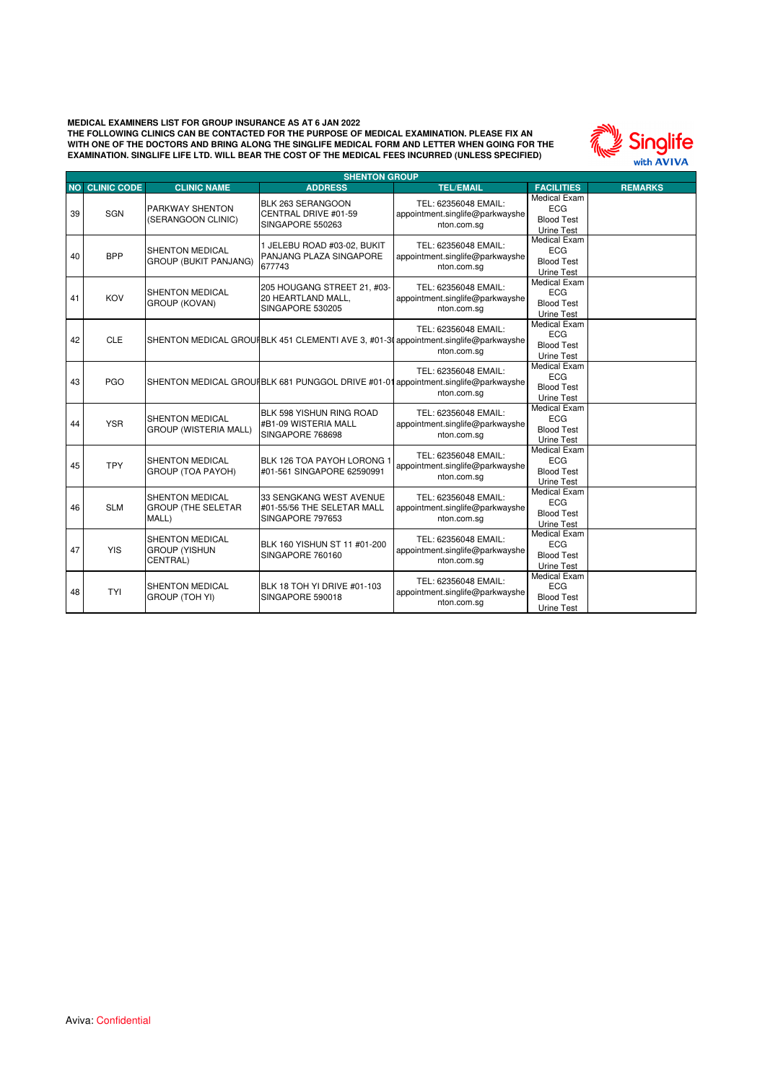

|    | <b>SHENTON GROUP</b>  |                                                              |                                                                                     |                                                                        |                                                                      |                |  |  |
|----|-----------------------|--------------------------------------------------------------|-------------------------------------------------------------------------------------|------------------------------------------------------------------------|----------------------------------------------------------------------|----------------|--|--|
|    | <b>NO CLINIC CODE</b> | <b>CLINIC NAME</b>                                           | <b>ADDRESS</b>                                                                      | <b>TEL/EMAIL</b>                                                       | <b>FACILITIES</b>                                                    | <b>REMARKS</b> |  |  |
| 39 | SGN                   | PARKWAY SHENTON<br>(SERANGOON CLINIC)                        | BLK 263 SERANGOON<br>CENTRAL DRIVE #01-59<br>SINGAPORE 550263                       | TEL: 62356048 EMAIL:<br>appointment.singlife@parkwayshe<br>nton.com.sq | <b>Medical Exam</b><br><b>ECG</b><br><b>Blood Test</b><br>Urine Test |                |  |  |
| 40 | <b>BPP</b>            | SHENTON MEDICAL<br><b>GROUP (BUKIT PANJANG)</b>              | 1 JELEBU ROAD #03-02, BUKIT<br>PANJANG PLAZA SINGAPORE<br>677743                    | TEL: 62356048 EMAIL:<br>appointment.singlife@parkwayshe<br>nton.com.sq | <b>Medical Exam</b><br><b>ECG</b><br><b>Blood Test</b><br>Urine Test |                |  |  |
| 41 | KOV                   | <b>SHENTON MEDICAL</b><br><b>GROUP (KOVAN)</b>               | 205 HOUGANG STREET 21, #03-<br>20 HEARTLAND MALL,<br>SINGAPORE 530205               | TEL: 62356048 EMAIL:<br>appointment.singlife@parkwayshe<br>nton.com.sg | <b>Medical Exam</b><br><b>ECG</b><br><b>Blood Test</b><br>Urine Test |                |  |  |
| 42 | <b>CLE</b>            |                                                              | SHENTON MEDICAL GROUIBLK 451 CLEMENTI AVE 3, #01-30 appointment.singlife@parkwayshe | TEL: 62356048 EMAIL:<br>nton.com.sq                                    | Medical Exam<br><b>ECG</b><br><b>Blood Test</b><br>Urine Test        |                |  |  |
| 43 | <b>PGO</b>            |                                                              | SHENTON MEDICAL GROUIBLK 681 PUNGGOL DRIVE #01-01 appointment.singlife@parkwayshe   | TEL: 62356048 EMAIL:<br>nton.com.sg                                    | <b>Medical Exam</b><br><b>ECG</b><br><b>Blood Test</b><br>Urine Test |                |  |  |
| 44 | <b>YSR</b>            | SHENTON MEDICAL<br>GROUP (WISTERIA MALL)                     | BLK 598 YISHUN RING ROAD<br>#B1-09 WISTERIA MALL<br>SINGAPORE 768698                | TEL: 62356048 EMAIL:<br>appointment.singlife@parkwayshe<br>nton.com.sq | <b>Medical Exam</b><br><b>ECG</b><br><b>Blood Test</b><br>Urine Test |                |  |  |
| 45 | <b>TPY</b>            | <b>SHENTON MEDICAL</b><br><b>GROUP (TOA PAYOH)</b>           | BLK 126 TOA PAYOH LORONG 1<br>#01-561 SINGAPORE 62590991                            | TEL: 62356048 EMAIL:<br>appointment.singlife@parkwayshe<br>nton.com.sq | <b>Medical Exam</b><br><b>ECG</b><br><b>Blood Test</b><br>Urine Test |                |  |  |
| 46 | <b>SLM</b>            | <b>SHENTON MEDICAL</b><br><b>GROUP (THE SELETAR</b><br>MALL) | 33 SENGKANG WEST AVENUE<br>#01-55/56 THE SELETAR MALL<br>SINGAPORE 797653           | TEL: 62356048 EMAIL:<br>appointment.singlife@parkwayshe<br>nton.com.sg | Medical Exam<br><b>ECG</b><br><b>Blood Test</b><br>Urine Test        |                |  |  |
| 47 | <b>YIS</b>            | <b>SHENTON MEDICAL</b><br><b>GROUP (YISHUN</b><br>CENTRAL)   | BLK 160 YISHUN ST 11 #01-200<br>SINGAPORE 760160                                    | TEL: 62356048 EMAIL:<br>appointment.singlife@parkwayshe<br>nton.com.sg | <b>Medical Exam</b><br><b>ECG</b><br><b>Blood Test</b><br>Urine Test |                |  |  |
| 48 | <b>TYI</b>            | <b>SHENTON MEDICAL</b><br><b>GROUP (TOH YI)</b>              | BLK 18 TOH YI DRIVE #01-103<br>SINGAPORE 590018                                     | TEL: 62356048 EMAIL:<br>appointment.singlife@parkwayshe<br>nton.com.sg | <b>Medical Exam</b><br><b>ECG</b><br><b>Blood Test</b><br>Urine Test |                |  |  |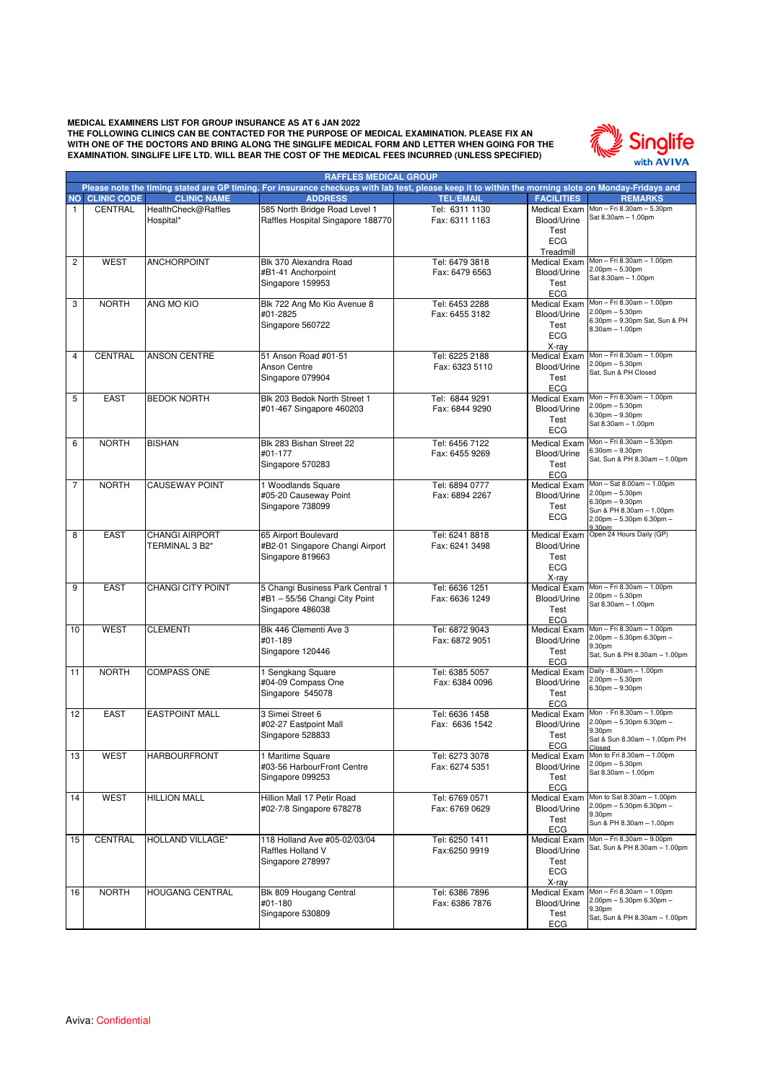**EXAMINATION. SINGLIFE LIFE LTD. WILL BEAR THE COST OF THE MEDICAL FEES INCURRED (UNLESS SPECIFIED) MEDICAL EXAMINERS LIST FOR GROUP INSURANCE AS AT 6 JAN 2022 THE FOLLOWING CLINICS CAN BE CONTACTED FOR THE PURPOSE OF MEDICAL EXAMINATION. PLEASE FIX AN WITH ONE OF THE DOCTORS AND BRING ALONG THE SINGLIFE MEDICAL FORM AND LETTER WHEN GOING FOR THE** 



|                | <b>RAFFLES MEDICAL GROUP</b><br>Please note the timing stated are GP timing. For insurance checkups with lab test, please keep it to within the morning slots on Monday-Fridays and |                          |                                                          |                                  |                                    |                                                        |  |
|----------------|-------------------------------------------------------------------------------------------------------------------------------------------------------------------------------------|--------------------------|----------------------------------------------------------|----------------------------------|------------------------------------|--------------------------------------------------------|--|
|                |                                                                                                                                                                                     |                          |                                                          |                                  |                                    |                                                        |  |
| <b>NO</b>      | <b>CLINIC CODE</b>                                                                                                                                                                  | <b>CLINIC NAME</b>       | <b>ADDRESS</b>                                           | <b>TEL/EMAIL</b>                 | <b>FACILITIES</b>                  | <b>REMARKS</b><br>Mon - Fri 8.30am - 5.30pm            |  |
| $\mathbf{1}$   | CENTRAL                                                                                                                                                                             | HealthCheck@Raffles      | 585 North Bridge Road Level 1                            | Tel: 6311 1130                   | Medical Exam<br>Blood/Urine        | Sat 8.30am - 1.00pm                                    |  |
|                |                                                                                                                                                                                     | Hospital*                | Raffles Hospital Singapore 188770                        | Fax: 6311 1163                   | Test                               |                                                        |  |
|                |                                                                                                                                                                                     |                          |                                                          |                                  | <b>ECG</b>                         |                                                        |  |
|                |                                                                                                                                                                                     |                          |                                                          |                                  | Treadmill                          |                                                        |  |
| $\overline{c}$ | <b>WEST</b>                                                                                                                                                                         | <b>ANCHORPOINT</b>       | Blk 370 Alexandra Road                                   | Tel: 6479 3818                   | <b>Medical Exam</b>                | Mon - Fri 8.30am - 1.00pm                              |  |
|                |                                                                                                                                                                                     |                          | #B1-41 Anchorpoint                                       | Fax: 6479 6563                   | Blood/Urine                        | $2.00pm - 5.30pm$                                      |  |
|                |                                                                                                                                                                                     |                          | Singapore 159953                                         |                                  | Test                               | Sat 8.30am - 1.00pm                                    |  |
|                |                                                                                                                                                                                     |                          |                                                          |                                  | <b>ECG</b>                         |                                                        |  |
| 3              | <b>NORTH</b>                                                                                                                                                                        | ANG MO KIO               | Blk 722 Ang Mo Kio Avenue 8                              | Tel: 6453 2288                   | <b>Medical Exam</b>                | Mon - Fri 8.30am - 1.00pm                              |  |
|                |                                                                                                                                                                                     |                          | #01-2825                                                 | Fax: 6455 3182                   | Blood/Urine                        | $2.00pm - 5.30pm$<br>6.30pm - 9.30pm Sat, Sun & PH     |  |
|                |                                                                                                                                                                                     |                          | Singapore 560722                                         |                                  | Test                               | $8.30am - 1.00pm$                                      |  |
|                |                                                                                                                                                                                     |                          |                                                          |                                  | <b>ECG</b>                         |                                                        |  |
|                |                                                                                                                                                                                     |                          |                                                          |                                  | X-ray                              |                                                        |  |
| 4              | <b>CENTRAL</b>                                                                                                                                                                      | <b>ANSON CENTRE</b>      | 51 Anson Road #01-51                                     | Tel: 6225 2188                   | <b>Medical Exam</b>                | Mon - Fri 8.30am - 1.00pm<br>$2.00pm - 5.30pm$         |  |
|                |                                                                                                                                                                                     |                          | Anson Centre                                             | Fax: 6323 5110                   | Blood/Urine                        | Sat, Sun & PH Closed                                   |  |
|                |                                                                                                                                                                                     |                          | Singapore 079904                                         |                                  | Test                               |                                                        |  |
|                |                                                                                                                                                                                     |                          |                                                          |                                  | <b>ECG</b>                         | Mon - Fri 8.30am - 1.00pm                              |  |
| 5              | <b>EAST</b>                                                                                                                                                                         | <b>BEDOK NORTH</b>       | Blk 203 Bedok North Street 1<br>#01-467 Singapore 460203 | Tel: 6844 9291<br>Fax: 6844 9290 | <b>Medical Exam</b><br>Blood/Urine | $2.00pm - 5.30pm$                                      |  |
|                |                                                                                                                                                                                     |                          |                                                          |                                  |                                    | $6.30pm - 9.30pm$                                      |  |
|                |                                                                                                                                                                                     |                          |                                                          |                                  | Test<br><b>ECG</b>                 | Sat 8.30am - 1.00pm                                    |  |
| 6              | <b>NORTH</b>                                                                                                                                                                        | <b>BISHAN</b>            | Blk 283 Bishan Street 22                                 | Tel: 6456 7122                   | <b>Medical Exam</b>                | Mon - Fri 8.30am - 5.30pm                              |  |
|                |                                                                                                                                                                                     |                          | #01-177                                                  | Fax: 6455 9269                   | Blood/Urine                        | $6.30$ om $-9.30$ pm                                   |  |
|                |                                                                                                                                                                                     |                          | Singapore 570283                                         |                                  | Test                               | Sat, Sun & PH 8.30am - 1.00pm                          |  |
|                |                                                                                                                                                                                     |                          |                                                          |                                  | ECG                                |                                                        |  |
| 7              | <b>NORTH</b>                                                                                                                                                                        | <b>CAUSEWAY POINT</b>    | 1 Woodlands Square                                       | Tel: 6894 0777                   | <b>Medical Exam</b>                | Mon - Sat 8.00am - 1.00pm                              |  |
|                |                                                                                                                                                                                     |                          | #05-20 Causeway Point                                    | Fax: 6894 2267                   | Blood/Urine                        | $2.00pm - 5.30pm$                                      |  |
|                |                                                                                                                                                                                     |                          | Singapore 738099                                         |                                  | Test                               | $6.30$ pm $-9.30$ pm<br>Sun & PH 8.30am - 1.00pm       |  |
|                |                                                                                                                                                                                     |                          |                                                          |                                  | <b>ECG</b>                         | $2.00$ pm $-5.30$ pm $6.30$ pm $-$                     |  |
|                |                                                                                                                                                                                     |                          |                                                          |                                  |                                    | 9.30pm                                                 |  |
| 8              | <b>EAST</b>                                                                                                                                                                         | <b>CHANGI AIRPORT</b>    | 65 Airport Boulevard                                     | Tel: 6241 8818                   | <b>Medical Exam</b>                | Open 24 Hours Daily (GP)                               |  |
|                |                                                                                                                                                                                     | TERMINAL 3 B2*           | #B2-01 Singapore Changi Airport                          | Fax: 6241 3498                   | Blood/Urine                        |                                                        |  |
|                |                                                                                                                                                                                     |                          | Singapore 819663                                         |                                  | Test<br><b>ECG</b>                 |                                                        |  |
|                |                                                                                                                                                                                     |                          |                                                          |                                  | X-ray                              |                                                        |  |
| 9              | <b>EAST</b>                                                                                                                                                                         | <b>CHANGI CITY POINT</b> | 5 Changi Business Park Central 1                         | Tel: 6636 1251                   | <b>Medical Exam</b>                | Mon - Fri 8.30am - 1.00pm                              |  |
|                |                                                                                                                                                                                     |                          | #B1-55/56 Changi City Point                              | Fax: 6636 1249                   | Blood/Urine                        | $2.00pm - 5.30pm$                                      |  |
|                |                                                                                                                                                                                     |                          | Singapore 486038                                         |                                  | Test                               | Sat 8.30am - 1.00pm                                    |  |
|                |                                                                                                                                                                                     |                          |                                                          |                                  | ECG                                |                                                        |  |
| 10             | <b>WEST</b>                                                                                                                                                                         | <b>CLEMENTI</b>          | Blk 446 Clementi Ave 3                                   | Tel: 6872 9043                   | <b>Medical Exam</b>                | Mon - Fri 8.30am - 1.00pm                              |  |
|                |                                                                                                                                                                                     |                          | #01-189                                                  | Fax: 6872 9051                   | Blood/Urine                        | $2.00$ pm $-5.30$ pm 6.30pm $-$<br>9.30pm              |  |
|                |                                                                                                                                                                                     |                          | Singapore 120446                                         |                                  | Test                               | Sat, Sun & PH 8.30am - 1.00pm                          |  |
|                |                                                                                                                                                                                     |                          |                                                          |                                  | <b>ECG</b>                         |                                                        |  |
| 11             | <b>NORTH</b>                                                                                                                                                                        | <b>COMPASS ONE</b>       | 1 Sengkang Square                                        | Tel: 6385 5057                   | <b>Medical Exam</b>                | Daily - 8.30am - 1.00pm<br>$2.00pm - 5.30pm$           |  |
|                |                                                                                                                                                                                     |                          | #04-09 Compass One                                       | Fax: 6384 0096                   | Blood/Urine                        | $6.30pm - 9.30pm$                                      |  |
|                |                                                                                                                                                                                     |                          | Singapore 545078                                         |                                  | Test<br><b>ECG</b>                 |                                                        |  |
| 12             | <b>EAST</b>                                                                                                                                                                         | <b>EASTPOINT MALL</b>    | 3 Simei Street 6                                         | Tel: 6636 1458                   | <b>Medical Exam</b>                | Mon - Fri 8.30am - 1.00pm                              |  |
|                |                                                                                                                                                                                     |                          | #02-27 Eastpoint Mall                                    | Fax: 6636 1542                   | Blood/Urine                        | $2.00$ pm $-5.30$ pm 6.30pm $-$                        |  |
|                |                                                                                                                                                                                     |                          | Singapore 528833                                         |                                  | Test                               | 9.30pm                                                 |  |
|                |                                                                                                                                                                                     |                          |                                                          |                                  | <b>ECG</b>                         | Sat & Sun 8.30am - 1.00pm PH<br>Closed                 |  |
| 13             | WEST                                                                                                                                                                                | <b>HARBOURFRONT</b>      | 1 Maritime Square                                        | Tel: 6273 3078                   |                                    | Medical Exam Mon to Fri 8.30am - 1.00pm                |  |
|                |                                                                                                                                                                                     |                          | #03-56 HarbourFront Centre                               | Fax: 6274 5351                   | Blood/Urine                        | $2.00pm - 5.30pm$<br>Sat 8.30am - 1.00pm               |  |
|                |                                                                                                                                                                                     |                          | Singapore 099253                                         |                                  | Test                               |                                                        |  |
|                |                                                                                                                                                                                     |                          |                                                          |                                  | <b>ECG</b>                         |                                                        |  |
| 14             | <b>WEST</b>                                                                                                                                                                         | <b>HILLION MALL</b>      | Hillion Mall 17 Petir Road                               | Tel: 6769 0571                   | Medical Exam                       | Mon to Sat 8.30am - 1.00pm<br>2.00pm - 5.30pm 6.30pm - |  |
|                |                                                                                                                                                                                     |                          | #02-7/8 Singapore 678278                                 | Fax: 6769 0629                   | Blood/Urine                        | 9.30pm                                                 |  |
|                |                                                                                                                                                                                     |                          |                                                          |                                  | Test<br>ECG                        | Sun & PH 8.30am - 1.00pm                               |  |
| 15             | CENTRAL                                                                                                                                                                             | HOLLAND VILLAGE*         | 118 Holland Ave #05-02/03/04                             | Tel: 6250 1411                   | Medical Exam                       | Mon - Fri 8.30am - 9.00pm                              |  |
|                |                                                                                                                                                                                     |                          | Raffles Holland V                                        | Fax:6250 9919                    | Blood/Urine                        | Sat, Sun & PH 8.30am - 1.00pm                          |  |
|                |                                                                                                                                                                                     |                          | Singapore 278997                                         |                                  | Test                               |                                                        |  |
|                |                                                                                                                                                                                     |                          |                                                          |                                  | ECG                                |                                                        |  |
|                |                                                                                                                                                                                     |                          |                                                          |                                  | X-ray                              |                                                        |  |
| 16             | <b>NORTH</b>                                                                                                                                                                        | <b>HOUGANG CENTRAL</b>   | Blk 809 Hougang Central                                  | Tel: 6386 7896                   | <b>Medical Exam</b>                | Mon - Fri 8.30am - 1.00pm                              |  |
|                |                                                                                                                                                                                     |                          | #01-180                                                  | Fax: 6386 7876                   | Blood/Urine                        | $2.00$ pm $-5.30$ pm 6.30pm $-$                        |  |
|                |                                                                                                                                                                                     |                          | Singapore 530809                                         |                                  | Test                               | 9.30pm<br>Sat, Sun & PH 8.30am - 1.00pm                |  |
|                |                                                                                                                                                                                     |                          |                                                          |                                  | ECG                                |                                                        |  |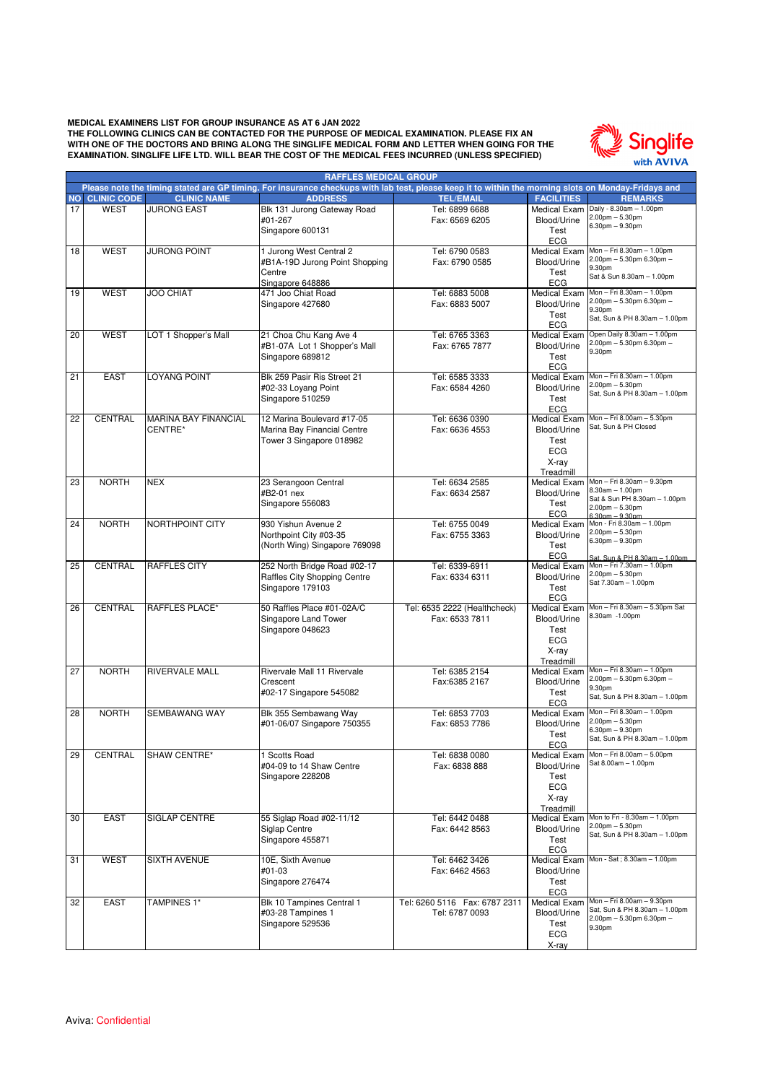

|    | <b>RAFFLES MEDICAL GROUP</b><br>Please note the timing stated are GP timing. For insurance checkups with lab test, please keep it to within the morning slots on Monday-Fridays and |                             |                                       |                                |                                  |                                                            |  |  |
|----|-------------------------------------------------------------------------------------------------------------------------------------------------------------------------------------|-----------------------------|---------------------------------------|--------------------------------|----------------------------------|------------------------------------------------------------|--|--|
|    |                                                                                                                                                                                     |                             |                                       |                                |                                  |                                                            |  |  |
|    | <b>NO CLINIC CODE</b>                                                                                                                                                               | <b>CLINIC NAME</b>          | <b>ADDRESS</b>                        | <b>TEL/EMAIL</b>               | <b>FACILITIES</b>                | <b>REMARKS</b>                                             |  |  |
| 17 | <b>WEST</b>                                                                                                                                                                         | <b>JURONG EAST</b>          | Blk 131 Jurong Gateway Road           | Tel: 6899 6688                 | Medical Exam                     | Daily - 8.30am - 1.00pm<br>$2.00pm - 5.30pm$               |  |  |
|    |                                                                                                                                                                                     |                             | #01-267                               | Fax: 6569 6205                 | Blood/Urine                      | $6.30pm - 9.30pm$                                          |  |  |
|    |                                                                                                                                                                                     |                             | Singapore 600131                      |                                | Test<br><b>ECG</b>               |                                                            |  |  |
| 18 | <b>WEST</b>                                                                                                                                                                         | <b>JURONG POINT</b>         | 1 Jurong West Central 2               | Tel: 6790 0583                 | Medical Exam                     | Mon - Fri 8.30am - 1.00pm                                  |  |  |
|    |                                                                                                                                                                                     |                             | #B1A-19D Jurong Point Shopping        | Fax: 6790 0585                 | Blood/Urine                      | 2.00pm - 5.30pm 6.30pm -                                   |  |  |
|    |                                                                                                                                                                                     |                             | Centre                                |                                | Test                             | 9.30pm                                                     |  |  |
|    |                                                                                                                                                                                     |                             | Singapore 648886                      |                                | <b>ECG</b>                       | Sat & Sun 8.30am - 1.00pm                                  |  |  |
| 19 | <b>WEST</b>                                                                                                                                                                         | <b>JOO CHIAT</b>            | 471 Joo Chiat Road                    | Tel: 6883 5008                 | <b>Medical Exam</b>              | Mon - Fri 8.30am - 1.00pm                                  |  |  |
|    |                                                                                                                                                                                     |                             | Singapore 427680                      | Fax: 6883 5007                 | Blood/Urine                      | 2.00pm - 5.30pm 6.30pm -                                   |  |  |
|    |                                                                                                                                                                                     |                             |                                       |                                | Test                             | 9.30pm<br>Sat, Sun & PH 8.30am - 1.00pm                    |  |  |
|    |                                                                                                                                                                                     |                             |                                       |                                | <b>ECG</b>                       |                                                            |  |  |
| 20 | <b>WEST</b>                                                                                                                                                                         | LOT 1 Shopper's Mall        | 21 Choa Chu Kang Ave 4                | Tel: 6765 3363                 | <b>Medical Exam</b>              | Open Daily 8.30am - 1.00pm                                 |  |  |
|    |                                                                                                                                                                                     |                             | #B1-07A Lot 1 Shopper's Mall          | Fax: 6765 7877                 | Blood/Urine                      | $2.00$ pm $-5.30$ pm 6.30pm $-$<br>9.30pm                  |  |  |
|    |                                                                                                                                                                                     |                             | Singapore 689812                      |                                | Test                             |                                                            |  |  |
|    |                                                                                                                                                                                     |                             |                                       |                                | <b>ECG</b>                       |                                                            |  |  |
| 21 | <b>EAST</b>                                                                                                                                                                         | <b>LOYANG POINT</b>         | Blk 259 Pasir Ris Street 21           | Tel: 6585 3333                 | Medical Exam                     | Mon - Fri 8.30am - 1.00pm<br>$2.00pm - 5.30pm$             |  |  |
|    |                                                                                                                                                                                     |                             | #02-33 Loyang Point                   | Fax: 6584 4260                 | Blood/Urine                      | Sat, Sun & PH 8.30am - 1.00pm                              |  |  |
|    |                                                                                                                                                                                     |                             | Singapore 510259                      |                                | Test                             |                                                            |  |  |
| 22 | <b>CENTRAL</b>                                                                                                                                                                      | <b>MARINA BAY FINANCIAL</b> | 12 Marina Boulevard #17-05            | Tel: 6636 0390                 | <b>ECG</b><br>Medical Exam       | Mon - Fri 8.00am - 5.30pm                                  |  |  |
|    |                                                                                                                                                                                     | CENTRE*                     | Marina Bay Financial Centre           | Fax: 6636 4553                 | Blood/Urine                      | Sat, Sun & PH Closed                                       |  |  |
|    |                                                                                                                                                                                     |                             | Tower 3 Singapore 018982              |                                | Test                             |                                                            |  |  |
|    |                                                                                                                                                                                     |                             |                                       |                                | <b>ECG</b>                       |                                                            |  |  |
|    |                                                                                                                                                                                     |                             |                                       |                                | X-ray                            |                                                            |  |  |
|    |                                                                                                                                                                                     |                             |                                       |                                | Treadmill                        |                                                            |  |  |
| 23 | <b>NORTH</b>                                                                                                                                                                        | <b>NEX</b>                  | 23 Serangoon Central                  | Tel: 6634 2585                 |                                  | Medical Exam Mon-Fri 8.30am - 9.30pm                       |  |  |
|    |                                                                                                                                                                                     |                             | #B2-01 nex                            | Fax: 6634 2587                 | Blood/Urine                      | $8.30am - 1.00pm$<br>Sat & Sun PH 8.30am - 1.00pm          |  |  |
|    |                                                                                                                                                                                     |                             | Singapore 556083                      |                                | Test                             | $2.00$ pm $- 5.30$ pm                                      |  |  |
|    |                                                                                                                                                                                     |                             |                                       |                                | <b>ECG</b>                       | $6.30pm - 9.30pm$                                          |  |  |
| 24 | <b>NORTH</b>                                                                                                                                                                        | NORTHPOINT CITY             | 930 Yishun Avenue 2                   | Tel: 6755 0049                 | Medical Exam                     | Mon - Fri 8.30am - 1.00pm<br>$2.00pm - 5.30pm$             |  |  |
|    |                                                                                                                                                                                     |                             | Northpoint City #03-35                | Fax: 6755 3363                 | Blood/Urine                      | $6.30pm - 9.30pm$                                          |  |  |
|    |                                                                                                                                                                                     |                             | (North Wing) Singapore 769098         |                                | Test<br>ECG                      |                                                            |  |  |
| 25 | <b>CENTRAL</b>                                                                                                                                                                      | <b>RAFFLES CITY</b>         | 252 North Bridge Road #02-17          | Tel: 6339-6911                 | <b>Medical Exam</b>              | Sat. Sun & PH 8.30am - 1.00pm<br>Mon - Fri 7.30am - 1.00pm |  |  |
|    |                                                                                                                                                                                     |                             | Raffles City Shopping Centre          | Fax: 6334 6311                 | Blood/Urine                      | $2.00pm - 5.30pm$                                          |  |  |
|    |                                                                                                                                                                                     |                             | Singapore 179103                      |                                | Test                             | Sat 7.30am - 1.00pm                                        |  |  |
|    |                                                                                                                                                                                     |                             |                                       |                                | <b>ECG</b>                       |                                                            |  |  |
| 26 | <b>CENTRAL</b>                                                                                                                                                                      | <b>RAFFLES PLACE*</b>       | 50 Raffles Place #01-02A/C            | Tel: 6535 2222 (Healthcheck)   | <b>Medical Exam</b>              | Mon - Fri 8.30am - 5.30pm Sat                              |  |  |
|    |                                                                                                                                                                                     |                             | Singapore Land Tower                  | Fax: 6533 7811                 | Blood/Urine                      | 8.30am -1.00pm                                             |  |  |
|    |                                                                                                                                                                                     |                             | Singapore 048623                      |                                | Test                             |                                                            |  |  |
|    |                                                                                                                                                                                     |                             |                                       |                                | <b>ECG</b>                       |                                                            |  |  |
|    |                                                                                                                                                                                     |                             |                                       |                                | X-ray                            |                                                            |  |  |
| 27 | <b>NORTH</b>                                                                                                                                                                        | <b>RIVERVALE MALL</b>       | Rivervale Mall 11 Rivervale           | Tel: 6385 2154                 | Treadmill<br><b>Medical Exam</b> | Mon - Fri 8.30am - 1.00pm                                  |  |  |
|    |                                                                                                                                                                                     |                             | Crescent                              | Fax:6385 2167                  | Blood/Urine                      | 2.00pm - 5.30pm 6.30pm -                                   |  |  |
|    |                                                                                                                                                                                     |                             | #02-17 Singapore 545082               |                                | Test                             | 9.30pm                                                     |  |  |
|    |                                                                                                                                                                                     |                             |                                       |                                | <b>ECG</b>                       | Sat, Sun & PH 8.30am - 1.00pm                              |  |  |
| 28 | <b>NORTH</b>                                                                                                                                                                        | <b>SEMBAWANG WAY</b>        | Blk 355 Sembawang Way                 | Tel: 6853 7703                 | <b>Medical Exam</b>              | Mon - Fri 8.30am - 1.00pm                                  |  |  |
|    |                                                                                                                                                                                     |                             | #01-06/07 Singapore 750355            | Fax: 6853 7786                 | Blood/Urine                      | $2.00pm - 5.30pm$                                          |  |  |
|    |                                                                                                                                                                                     |                             |                                       |                                | Test                             | $6.30pm - 9.30pm$<br>Sat, Sun & PH 8.30am - 1.00pm         |  |  |
|    |                                                                                                                                                                                     |                             |                                       |                                | ECG                              |                                                            |  |  |
| 29 | CENTRAL                                                                                                                                                                             | SHAW CENTRE*                | 1 Scotts Road                         | Tel: 6838 0080                 |                                  | Medical Exam Mon-Fri 8.00am-5.00pm<br>Sat 8.00am - 1.00pm  |  |  |
|    |                                                                                                                                                                                     |                             | #04-09 to 14 Shaw Centre              | Fax: 6838 888                  | Blood/Urine                      |                                                            |  |  |
|    |                                                                                                                                                                                     |                             | Singapore 228208                      |                                | Test                             |                                                            |  |  |
|    |                                                                                                                                                                                     |                             |                                       |                                | <b>ECG</b><br>X-ray              |                                                            |  |  |
|    |                                                                                                                                                                                     |                             |                                       |                                | Treadmill                        |                                                            |  |  |
| 30 | <b>EAST</b>                                                                                                                                                                         | <b>SIGLAP CENTRE</b>        | 55 Siglap Road #02-11/12              | Tel: 6442 0488                 |                                  | Medical Exam Mon to Fri - 8.30am - 1.00pm                  |  |  |
|    |                                                                                                                                                                                     |                             | Siglap Centre                         | Fax: 6442 8563                 | Blood/Urine                      | 2.00pm - 5.30pm                                            |  |  |
|    |                                                                                                                                                                                     |                             | Singapore 455871                      |                                | Test                             | Sat, Sun & PH 8.30am - 1.00pm                              |  |  |
|    |                                                                                                                                                                                     |                             |                                       |                                | <b>ECG</b>                       |                                                            |  |  |
| 31 | <b>WEST</b>                                                                                                                                                                         | SIXTH AVENUE                | 10E, Sixth Avenue                     | Tel: 6462 3426                 |                                  | Medical Exam Mon - Sat; 8.30am - 1.00pm                    |  |  |
|    |                                                                                                                                                                                     |                             | #01-03                                | Fax: 6462 4563                 | Blood/Urine                      |                                                            |  |  |
|    |                                                                                                                                                                                     |                             | Singapore 276474                      |                                | Test                             |                                                            |  |  |
|    |                                                                                                                                                                                     |                             |                                       |                                | <b>ECG</b>                       |                                                            |  |  |
| 32 | <b>EAST</b>                                                                                                                                                                         | TAMPINES 1*                 | Blk 10 Tampines Central 1             | Tel: 6260 5116  Fax: 6787 2311 | Medical Exam                     | Mon - Fri 8.00am - 9.30pm<br>Sat, Sun & PH 8.30am - 1.00pm |  |  |
|    |                                                                                                                                                                                     |                             | #03-28 Tampines 1<br>Singapore 529536 | Tel: 6787 0093                 | Blood/Urine<br>Test              | 2.00pm - 5.30pm 6.30pm -                                   |  |  |
|    |                                                                                                                                                                                     |                             |                                       |                                | <b>ECG</b>                       | 9.30pm                                                     |  |  |
|    |                                                                                                                                                                                     |                             |                                       |                                | X-ray                            |                                                            |  |  |
|    |                                                                                                                                                                                     |                             |                                       |                                |                                  |                                                            |  |  |